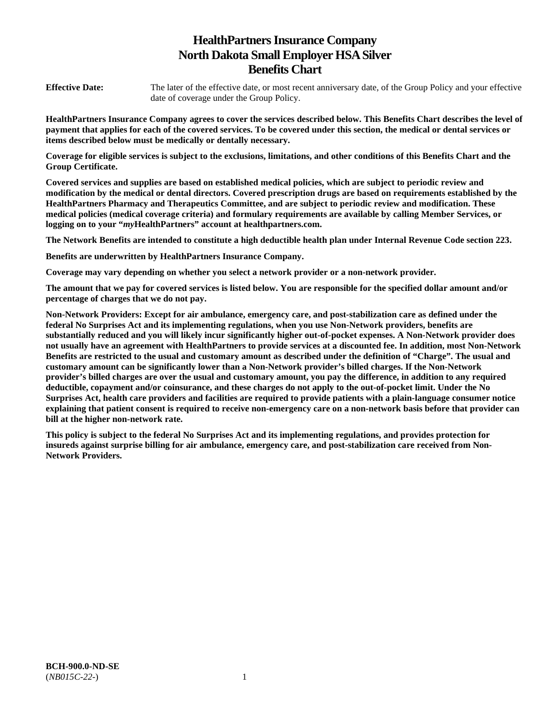# **HealthPartners Insurance Company North Dakota Small Employer HSA Silver Benefits Chart**

**Effective Date:** The later of the effective date, or most recent anniversary date, of the Group Policy and your effective date of coverage under the Group Policy.

**HealthPartners Insurance Company agrees to cover the services described below. This Benefits Chart describes the level of payment that applies for each of the covered services. To be covered under this section, the medical or dental services or items described below must be medically or dentally necessary.** 

**Coverage for eligible services is subject to the exclusions, limitations, and other conditions of this Benefits Chart and the Group Certificate.** 

**Covered services and supplies are based on established medical policies, which are subject to periodic review and modification by the medical or dental directors. Covered prescription drugs are based on requirements established by the HealthPartners Pharmacy and Therapeutics Committee, and are subject to periodic review and modification. These medical policies (medical coverage criteria) and formulary requirements are available by calling Member Services, or logging on to your "***my***HealthPartners" account at [healthpartners.com.](http://healthpartners.com/)** 

**The Network Benefits are intended to constitute a high deductible health plan under Internal Revenue Code section 223.**

**Benefits are underwritten by HealthPartners Insurance Company.** 

**Coverage may vary depending on whether you select a network provider or a non-network provider.** 

**The amount that we pay for covered services is listed below. You are responsible for the specified dollar amount and/or percentage of charges that we do not pay.** 

**Non-Network Providers: Except for air ambulance, emergency care, and post-stabilization care as defined under the federal No Surprises Act and its implementing regulations, when you use Non-Network providers, benefits are substantially reduced and you will likely incur significantly higher out-of-pocket expenses. A Non-Network provider does not usually have an agreement with HealthPartners to provide services at a discounted fee. In addition, most Non-Network Benefits are restricted to the usual and customary amount as described under the definition of "Charge". The usual and customary amount can be significantly lower than a Non-Network provider's billed charges. If the Non-Network provider's billed charges are over the usual and customary amount, you pay the difference, in addition to any required deductible, copayment and/or coinsurance, and these charges do not apply to the out-of-pocket limit. Under the No Surprises Act, health care providers and facilities are required to provide patients with a plain-language consumer notice explaining that patient consent is required to receive non-emergency care on a non-network basis before that provider can bill at the higher non-network rate.** 

**This policy is subject to the federal No Surprises Act and its implementing regulations, and provides protection for insureds against surprise billing for air ambulance, emergency care, and post-stabilization care received from Non-Network Providers.**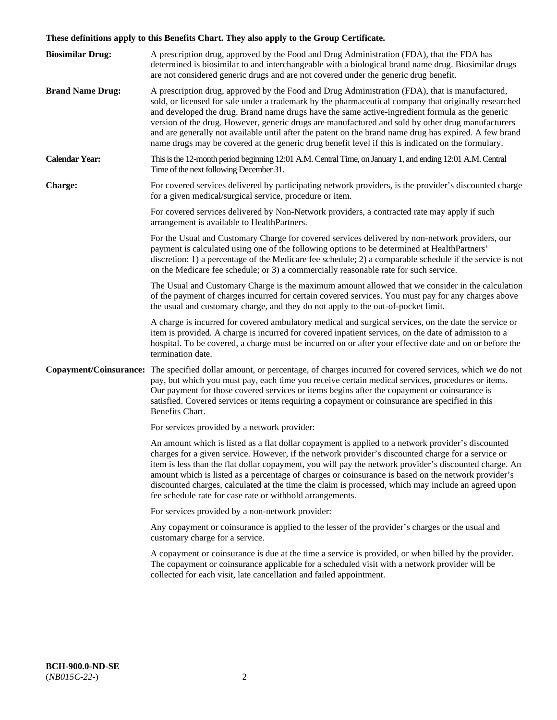# **These definitions apply to this Benefits Chart. They also apply to the Group Certificate.**

| <b>Biosimilar Drug:</b> | A prescription drug, approved by the Food and Drug Administration (FDA), that the FDA has<br>determined is biosimilar to and interchangeable with a biological brand name drug. Biosimilar drugs<br>are not considered generic drugs and are not covered under the generic drug benefit.                                                                                                                                                                                                                                                                                                                                        |
|-------------------------|---------------------------------------------------------------------------------------------------------------------------------------------------------------------------------------------------------------------------------------------------------------------------------------------------------------------------------------------------------------------------------------------------------------------------------------------------------------------------------------------------------------------------------------------------------------------------------------------------------------------------------|
| <b>Brand Name Drug:</b> | A prescription drug, approved by the Food and Drug Administration (FDA), that is manufactured,<br>sold, or licensed for sale under a trademark by the pharmaceutical company that originally researched<br>and developed the drug. Brand name drugs have the same active-ingredient formula as the generic<br>version of the drug. However, generic drugs are manufactured and sold by other drug manufacturers<br>and are generally not available until after the patent on the brand name drug has expired. A few brand<br>name drugs may be covered at the generic drug benefit level if this is indicated on the formulary. |
| <b>Calendar Year:</b>   | This is the 12-month period beginning 12:01 A.M. Central Time, on January 1, and ending 12:01 A.M. Central<br>Time of the next following December 31.                                                                                                                                                                                                                                                                                                                                                                                                                                                                           |
| <b>Charge:</b>          | For covered services delivered by participating network providers, is the provider's discounted charge<br>for a given medical/surgical service, procedure or item.                                                                                                                                                                                                                                                                                                                                                                                                                                                              |
|                         | For covered services delivered by Non-Network providers, a contracted rate may apply if such<br>arrangement is available to HealthPartners.                                                                                                                                                                                                                                                                                                                                                                                                                                                                                     |
|                         | For the Usual and Customary Charge for covered services delivered by non-network providers, our<br>payment is calculated using one of the following options to be determined at HealthPartners'<br>discretion: 1) a percentage of the Medicare fee schedule; 2) a comparable schedule if the service is not<br>on the Medicare fee schedule; or 3) a commercially reasonable rate for such service.                                                                                                                                                                                                                             |
|                         | The Usual and Customary Charge is the maximum amount allowed that we consider in the calculation<br>of the payment of charges incurred for certain covered services. You must pay for any charges above<br>the usual and customary charge, and they do not apply to the out-of-pocket limit.                                                                                                                                                                                                                                                                                                                                    |
|                         | A charge is incurred for covered ambulatory medical and surgical services, on the date the service or<br>item is provided. A charge is incurred for covered inpatient services, on the date of admission to a<br>hospital. To be covered, a charge must be incurred on or after your effective date and on or before the<br>termination date.                                                                                                                                                                                                                                                                                   |
|                         | Copayment/Coinsurance: The specified dollar amount, or percentage, of charges incurred for covered services, which we do not<br>pay, but which you must pay, each time you receive certain medical services, procedures or items.<br>Our payment for those covered services or items begins after the copayment or coinsurance is<br>satisfied. Covered services or items requiring a copayment or coinsurance are specified in this<br>Benefits Chart.                                                                                                                                                                         |
|                         | For services provided by a network provider:                                                                                                                                                                                                                                                                                                                                                                                                                                                                                                                                                                                    |
|                         | An amount which is listed as a flat dollar copayment is applied to a network provider's discounted<br>charges for a given service. However, if the network provider's discounted charge for a service or<br>item is less than the flat dollar copayment, you will pay the network provider's discounted charge. An<br>amount which is listed as a percentage of charges or coinsurance is based on the network provider's<br>discounted charges, calculated at the time the claim is processed, which may include an agreed upon<br>fee schedule rate for case rate or withhold arrangements.                                   |
|                         | For services provided by a non-network provider:                                                                                                                                                                                                                                                                                                                                                                                                                                                                                                                                                                                |
|                         | Any copayment or coinsurance is applied to the lesser of the provider's charges or the usual and<br>customary charge for a service.                                                                                                                                                                                                                                                                                                                                                                                                                                                                                             |
|                         | A copayment or coinsurance is due at the time a service is provided, or when billed by the provider.<br>The copayment or coinsurance applicable for a scheduled visit with a network provider will be<br>collected for each visit, late cancellation and failed appointment.                                                                                                                                                                                                                                                                                                                                                    |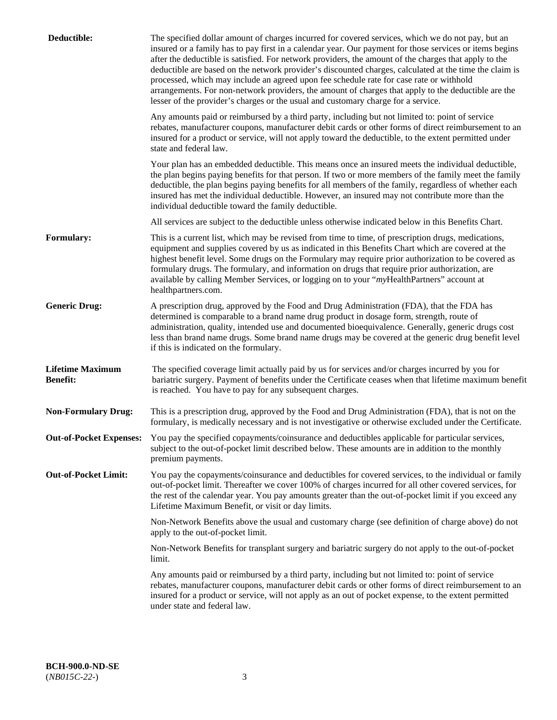| Deductible:                                | The specified dollar amount of charges incurred for covered services, which we do not pay, but an<br>insured or a family has to pay first in a calendar year. Our payment for those services or items begins<br>after the deductible is satisfied. For network providers, the amount of the charges that apply to the<br>deductible are based on the network provider's discounted charges, calculated at the time the claim is<br>processed, which may include an agreed upon fee schedule rate for case rate or withhold<br>arrangements. For non-network providers, the amount of charges that apply to the deductible are the<br>lesser of the provider's charges or the usual and customary charge for a service. |
|--------------------------------------------|------------------------------------------------------------------------------------------------------------------------------------------------------------------------------------------------------------------------------------------------------------------------------------------------------------------------------------------------------------------------------------------------------------------------------------------------------------------------------------------------------------------------------------------------------------------------------------------------------------------------------------------------------------------------------------------------------------------------|
|                                            | Any amounts paid or reimbursed by a third party, including but not limited to: point of service<br>rebates, manufacturer coupons, manufacturer debit cards or other forms of direct reimbursement to an<br>insured for a product or service, will not apply toward the deductible, to the extent permitted under<br>state and federal law.                                                                                                                                                                                                                                                                                                                                                                             |
|                                            | Your plan has an embedded deductible. This means once an insured meets the individual deductible,<br>the plan begins paying benefits for that person. If two or more members of the family meet the family<br>deductible, the plan begins paying benefits for all members of the family, regardless of whether each<br>insured has met the individual deductible. However, an insured may not contribute more than the<br>individual deductible toward the family deductible.                                                                                                                                                                                                                                          |
|                                            | All services are subject to the deductible unless otherwise indicated below in this Benefits Chart.                                                                                                                                                                                                                                                                                                                                                                                                                                                                                                                                                                                                                    |
| <b>Formulary:</b>                          | This is a current list, which may be revised from time to time, of prescription drugs, medications,<br>equipment and supplies covered by us as indicated in this Benefits Chart which are covered at the<br>highest benefit level. Some drugs on the Formulary may require prior authorization to be covered as<br>formulary drugs. The formulary, and information on drugs that require prior authorization, are<br>available by calling Member Services, or logging on to your "myHealthPartners" account at<br>healthpartners.com.                                                                                                                                                                                  |
| <b>Generic Drug:</b>                       | A prescription drug, approved by the Food and Drug Administration (FDA), that the FDA has<br>determined is comparable to a brand name drug product in dosage form, strength, route of<br>administration, quality, intended use and documented bioequivalence. Generally, generic drugs cost<br>less than brand name drugs. Some brand name drugs may be covered at the generic drug benefit level<br>if this is indicated on the formulary.                                                                                                                                                                                                                                                                            |
| <b>Lifetime Maximum</b><br><b>Benefit:</b> | The specified coverage limit actually paid by us for services and/or charges incurred by you for<br>bariatric surgery. Payment of benefits under the Certificate ceases when that lifetime maximum benefit<br>is reached. You have to pay for any subsequent charges.                                                                                                                                                                                                                                                                                                                                                                                                                                                  |
| <b>Non-Formulary Drug:</b>                 | This is a prescription drug, approved by the Food and Drug Administration (FDA), that is not on the<br>formulary, is medically necessary and is not investigative or otherwise excluded under the Certificate.                                                                                                                                                                                                                                                                                                                                                                                                                                                                                                         |
|                                            | Out-of-Pocket Expenses: You pay the specified copayments/coinsurance and deductibles applicable for particular services,<br>subject to the out-of-pocket limit described below. These amounts are in addition to the monthly<br>premium payments.                                                                                                                                                                                                                                                                                                                                                                                                                                                                      |
| <b>Out-of-Pocket Limit:</b>                | You pay the copayments/coinsurance and deductibles for covered services, to the individual or family<br>out-of-pocket limit. Thereafter we cover 100% of charges incurred for all other covered services, for<br>the rest of the calendar year. You pay amounts greater than the out-of-pocket limit if you exceed any<br>Lifetime Maximum Benefit, or visit or day limits.                                                                                                                                                                                                                                                                                                                                            |
|                                            | Non-Network Benefits above the usual and customary charge (see definition of charge above) do not<br>apply to the out-of-pocket limit.                                                                                                                                                                                                                                                                                                                                                                                                                                                                                                                                                                                 |
|                                            | Non-Network Benefits for transplant surgery and bariatric surgery do not apply to the out-of-pocket<br>limit.                                                                                                                                                                                                                                                                                                                                                                                                                                                                                                                                                                                                          |
|                                            | Any amounts paid or reimbursed by a third party, including but not limited to: point of service<br>rebates, manufacturer coupons, manufacturer debit cards or other forms of direct reimbursement to an<br>insured for a product or service, will not apply as an out of pocket expense, to the extent permitted<br>under state and federal law.                                                                                                                                                                                                                                                                                                                                                                       |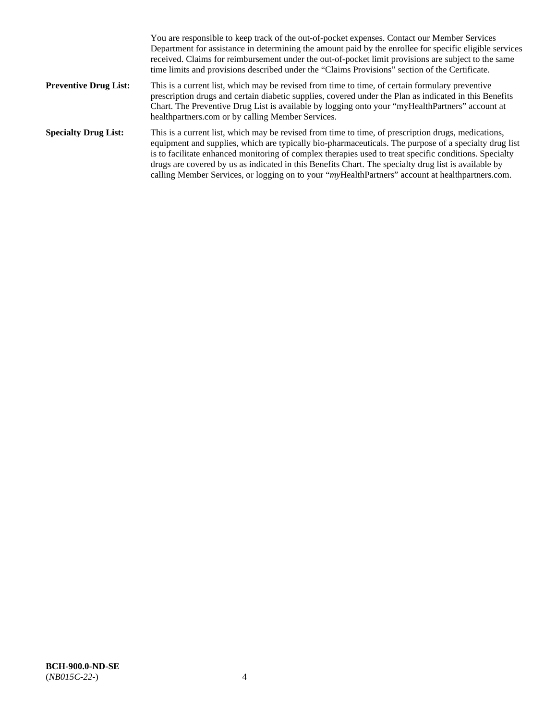|                              | You are responsible to keep track of the out-of-pocket expenses. Contact our Member Services<br>Department for assistance in determining the amount paid by the enrollee for specific eligible services<br>received. Claims for reimbursement under the out-of-pocket limit provisions are subject to the same<br>time limits and provisions described under the "Claims Provisions" section of the Certificate.                                                                                                                   |
|------------------------------|------------------------------------------------------------------------------------------------------------------------------------------------------------------------------------------------------------------------------------------------------------------------------------------------------------------------------------------------------------------------------------------------------------------------------------------------------------------------------------------------------------------------------------|
| <b>Preventive Drug List:</b> | This is a current list, which may be revised from time to time, of certain formulary preventive<br>prescription drugs and certain diabetic supplies, covered under the Plan as indicated in this Benefits<br>Chart. The Preventive Drug List is available by logging onto your "myHealthPartners" account at<br>healthpartners.com or by calling Member Services.                                                                                                                                                                  |
| <b>Specialty Drug List:</b>  | This is a current list, which may be revised from time to time, of prescription drugs, medications,<br>equipment and supplies, which are typically bio-pharmaceuticals. The purpose of a specialty drug list<br>is to facilitate enhanced monitoring of complex therapies used to treat specific conditions. Specialty<br>drugs are covered by us as indicated in this Benefits Chart. The specialty drug list is available by<br>calling Member Services, or logging on to your "myHealthPartners" account at healthpartners.com. |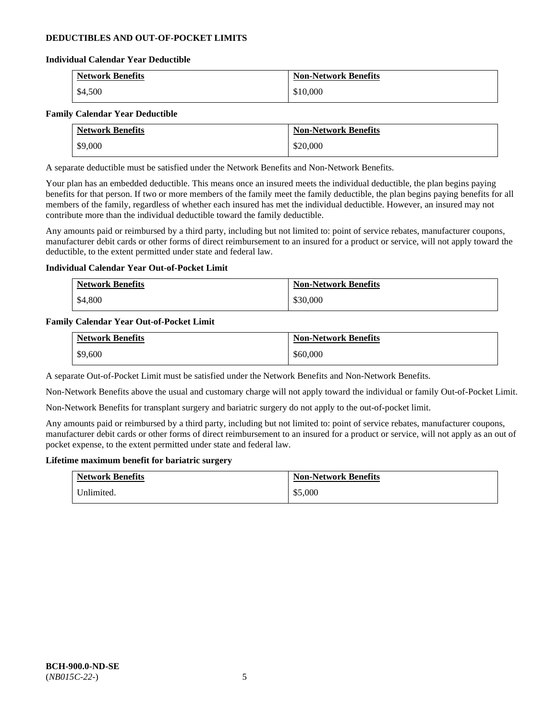# **DEDUCTIBLES AND OUT-OF-POCKET LIMITS**

### **Individual Calendar Year Deductible**

| <b>Network Benefits</b> | <b>Non-Network Benefits</b> |
|-------------------------|-----------------------------|
| \$4,500                 | \$10,000                    |

### **Family Calendar Year Deductible**

| <b>Network Benefits</b> | <b>Non-Network Benefits</b> |
|-------------------------|-----------------------------|
| \$9,000                 | \$20,000                    |

A separate deductible must be satisfied under the Network Benefits and Non-Network Benefits.

Your plan has an embedded deductible. This means once an insured meets the individual deductible, the plan begins paying benefits for that person. If two or more members of the family meet the family deductible, the plan begins paying benefits for all members of the family, regardless of whether each insured has met the individual deductible. However, an insured may not contribute more than the individual deductible toward the family deductible.

Any amounts paid or reimbursed by a third party, including but not limited to: point of service rebates, manufacturer coupons, manufacturer debit cards or other forms of direct reimbursement to an insured for a product or service, will not apply toward the deductible, to the extent permitted under state and federal law.

### **Individual Calendar Year Out-of-Pocket Limit**

| <b>Network Benefits</b> | <b>Non-Network Benefits</b> |
|-------------------------|-----------------------------|
| \$4,800                 | \$30,000                    |

### **Family Calendar Year Out-of-Pocket Limit**

| <b>Network Benefits</b> | <b>Non-Network Benefits</b> |
|-------------------------|-----------------------------|
| \$9,600                 | \$60,000                    |

A separate Out-of-Pocket Limit must be satisfied under the Network Benefits and Non-Network Benefits.

Non-Network Benefits above the usual and customary charge will not apply toward the individual or family Out-of-Pocket Limit.

Non-Network Benefits for transplant surgery and bariatric surgery do not apply to the out-of-pocket limit.

Any amounts paid or reimbursed by a third party, including but not limited to: point of service rebates, manufacturer coupons, manufacturer debit cards or other forms of direct reimbursement to an insured for a product or service, will not apply as an out of pocket expense, to the extent permitted under state and federal law.

#### **Lifetime maximum benefit for bariatric surgery**

| <b>Network Benefits</b> | <b>Non-Network Benefits</b> |
|-------------------------|-----------------------------|
| Inlimited.              | \$5,000                     |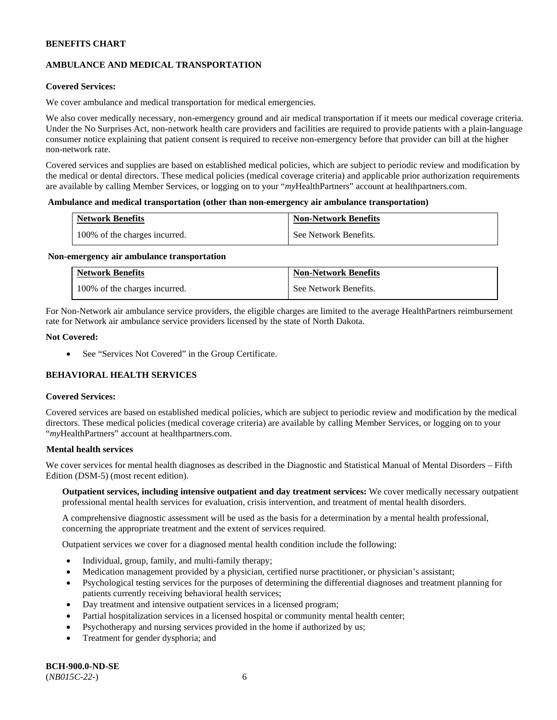# **AMBULANCE AND MEDICAL TRANSPORTATION**

# **Covered Services:**

We cover ambulance and medical transportation for medical emergencies.

We also cover medically necessary, non-emergency ground and air medical transportation if it meets our medical coverage criteria. Under the No Surprises Act, non-network health care providers and facilities are required to provide patients with a plain-language consumer notice explaining that patient consent is required to receive non-emergency before that provider can bill at the higher non-network rate.

Covered services and supplies are based on established medical policies, which are subject to periodic review and modification by the medical or dental directors. These medical policies (medical coverage criteria) and applicable prior authorization requirements are available by calling Member Services, or logging on to your "*my*HealthPartners" account a[t healthpartners.com.](http://www.healthpartners.com/)

### **Ambulance and medical transportation (other than non-emergency air ambulance transportation)**

| <b>Network Benefits</b>       | <b>Non-Network Benefits</b> |
|-------------------------------|-----------------------------|
| 100% of the charges incurred. | See Network Benefits.       |

#### **Non-emergency air ambulance transportation**

| <b>Network Benefits</b>       | <b>Non-Network Benefits</b> |
|-------------------------------|-----------------------------|
| 100% of the charges incurred. | See Network Benefits.       |

For Non-Network air ambulance service providers, the eligible charges are limited to the average HealthPartners reimbursement rate for Network air ambulance service providers licensed by the state of North Dakota.

### **Not Covered:**

• See "Services Not Covered" in the Group Certificate.

# **BEHAVIORAL HEALTH SERVICES**

#### **Covered Services:**

Covered services are based on established medical policies, which are subject to periodic review and modification by the medical directors. These medical policies (medical coverage criteria) are available by calling Member Services, or logging on to your "*my*HealthPartners" account at [healthpartners.com.](http://healthpartners.com/)

### **Mental health services**

We cover services for mental health diagnoses as described in the Diagnostic and Statistical Manual of Mental Disorders – Fifth Edition (DSM-5) (most recent edition).

**Outpatient services, including intensive outpatient and day treatment services:** We cover medically necessary outpatient professional mental health services for evaluation, crisis intervention, and treatment of mental health disorders.

A comprehensive diagnostic assessment will be used as the basis for a determination by a mental health professional, concerning the appropriate treatment and the extent of services required.

Outpatient services we cover for a diagnosed mental health condition include the following:

- Individual, group, family, and multi-family therapy;
- Medication management provided by a physician, certified nurse practitioner, or physician's assistant;
- Psychological testing services for the purposes of determining the differential diagnoses and treatment planning for patients currently receiving behavioral health services;
- Day treatment and intensive outpatient services in a licensed program;
- Partial hospitalization services in a licensed hospital or community mental health center;
- Psychotherapy and nursing services provided in the home if authorized by us;
- Treatment for gender dysphoria; and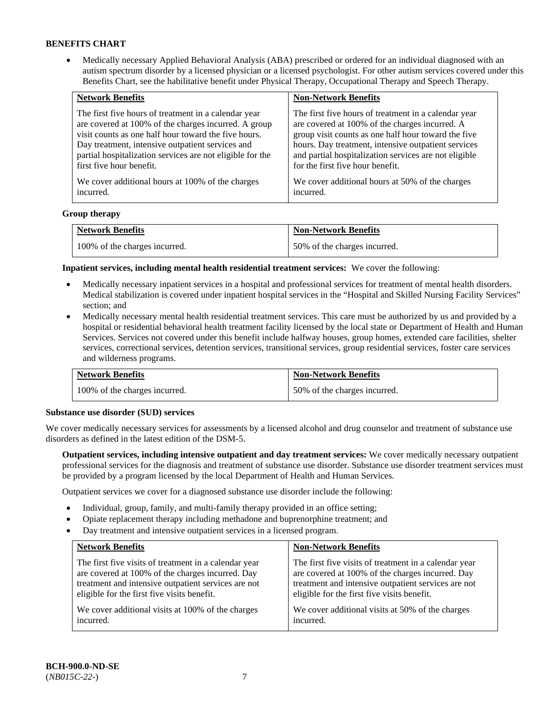• Medically necessary Applied Behavioral Analysis (ABA) prescribed or ordered for an individual diagnosed with an autism spectrum disorder by a licensed physician or a licensed psychologist. For other autism services covered under this Benefits Chart, see the habilitative benefit under Physical Therapy, Occupational Therapy and Speech Therapy.

| <b>Network Benefits</b>                                   | <b>Non-Network Benefits</b>                           |
|-----------------------------------------------------------|-------------------------------------------------------|
| The first five hours of treatment in a calendar year      | The first five hours of treatment in a calendar year  |
| are covered at 100% of the charges incurred. A group      | are covered at 100% of the charges incurred. A        |
| visit counts as one half hour toward the five hours.      | group visit counts as one half hour toward the five   |
| Day treatment, intensive outpatient services and          | hours. Day treatment, intensive outpatient services   |
| partial hospitalization services are not eligible for the | and partial hospitalization services are not eligible |
| first five hour benefit.                                  | for the first five hour benefit.                      |
| We cover additional hours at 100% of the charges          | We cover additional hours at 50% of the charges       |
| incurred.                                                 | incurred.                                             |

### **Group therapy**

| <b>Network Benefits</b>       | <b>Non-Network Benefits</b>  |
|-------------------------------|------------------------------|
| 100% of the charges incurred. | 50% of the charges incurred. |

**Inpatient services, including mental health residential treatment services:** We cover the following:

- Medically necessary inpatient services in a hospital and professional services for treatment of mental health disorders. Medical stabilization is covered under inpatient hospital services in the "Hospital and Skilled Nursing Facility Services" section; and
- Medically necessary mental health residential treatment services. This care must be authorized by us and provided by a hospital or residential behavioral health treatment facility licensed by the local state or Department of Health and Human Services. Services not covered under this benefit include halfway houses, group homes, extended care facilities, shelter services, correctional services, detention services, transitional services, group residential services, foster care services and wilderness programs.

| <b>Network Benefits</b>       | <b>Non-Network Benefits</b>  |
|-------------------------------|------------------------------|
| 100% of the charges incurred. | 50% of the charges incurred. |

#### **Substance use disorder (SUD) services**

We cover medically necessary services for assessments by a licensed alcohol and drug counselor and treatment of substance use disorders as defined in the latest edition of the DSM-5.

**Outpatient services, including intensive outpatient and day treatment services:** We cover medically necessary outpatient professional services for the diagnosis and treatment of substance use disorder. Substance use disorder treatment services must be provided by a program licensed by the local Department of Health and Human Services.

Outpatient services we cover for a diagnosed substance use disorder include the following:

- Individual, group, family, and multi-family therapy provided in an office setting;
- Opiate replacement therapy including methadone and buprenorphine treatment; and
- Day treatment and intensive outpatient services in a licensed program.

| <b>Network Benefits</b>                               | <b>Non-Network Benefits</b>                           |
|-------------------------------------------------------|-------------------------------------------------------|
| The first five visits of treatment in a calendar year | The first five visits of treatment in a calendar year |
| are covered at 100% of the charges incurred. Day      | are covered at 100% of the charges incurred. Day      |
| treatment and intensive outpatient services are not   | treatment and intensive outpatient services are not   |
| eligible for the first five visits benefit.           | eligible for the first five visits benefit.           |
| We cover additional visits at 100% of the charges     | We cover additional visits at 50% of the charges      |
| incurred.                                             | incurred.                                             |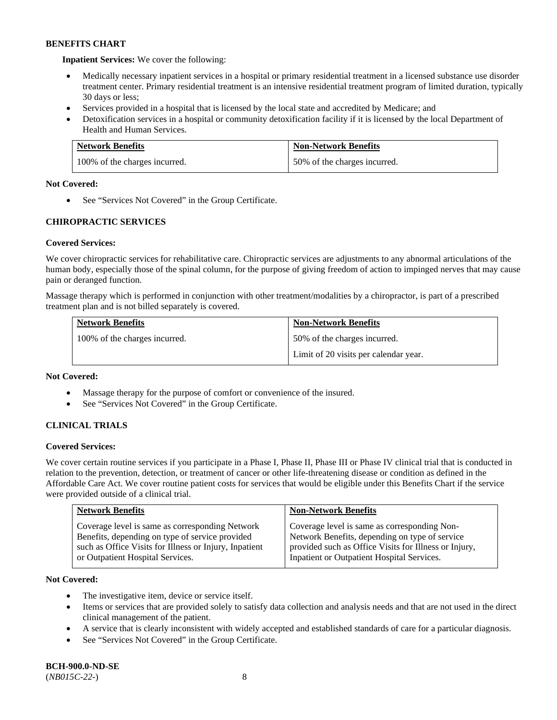**Inpatient Services:** We cover the following:

- Medically necessary inpatient services in a hospital or primary residential treatment in a licensed substance use disorder treatment center. Primary residential treatment is an intensive residential treatment program of limited duration, typically 30 days or less;
- Services provided in a hospital that is licensed by the local state and accredited by Medicare; and
- Detoxification services in a hospital or community detoxification facility if it is licensed by the local Department of Health and Human Services.

| <b>Network Benefits</b>       | <b>Non-Network Benefits</b>  |
|-------------------------------|------------------------------|
| 100% of the charges incurred. | 50% of the charges incurred. |

# **Not Covered:**

• See "Services Not Covered" in the Group Certificate.

# **CHIROPRACTIC SERVICES**

# **Covered Services:**

We cover chiropractic services for rehabilitative care. Chiropractic services are adjustments to any abnormal articulations of the human body, especially those of the spinal column, for the purpose of giving freedom of action to impinged nerves that may cause pain or deranged function.

Massage therapy which is performed in conjunction with other treatment/modalities by a chiropractor, is part of a prescribed treatment plan and is not billed separately is covered.

| <b>Network Benefits</b>       | <b>Non-Network Benefits</b>           |
|-------------------------------|---------------------------------------|
| 100% of the charges incurred. | 50% of the charges incurred.          |
|                               | Limit of 20 visits per calendar year. |

# **Not Covered:**

- Massage therapy for the purpose of comfort or convenience of the insured.
- See "Services Not Covered" in the Group Certificate.

# **CLINICAL TRIALS**

# **Covered Services:**

We cover certain routine services if you participate in a Phase I, Phase II, Phase III or Phase IV clinical trial that is conducted in relation to the prevention, detection, or treatment of cancer or other life-threatening disease or condition as defined in the Affordable Care Act. We cover routine patient costs for services that would be eligible under this Benefits Chart if the service were provided outside of a clinical trial.

| <b>Network Benefits</b>                                | <b>Non-Network Benefits</b>                           |
|--------------------------------------------------------|-------------------------------------------------------|
| Coverage level is same as corresponding Network        | Coverage level is same as corresponding Non-          |
| Benefits, depending on type of service provided        | Network Benefits, depending on type of service        |
| such as Office Visits for Illness or Injury, Inpatient | provided such as Office Visits for Illness or Injury, |
| or Outpatient Hospital Services.                       | Inpatient or Outpatient Hospital Services.            |

# **Not Covered:**

- The investigative item, device or service itself.
- Items or services that are provided solely to satisfy data collection and analysis needs and that are not used in the direct clinical management of the patient.
- A service that is clearly inconsistent with widely accepted and established standards of care for a particular diagnosis.
- See "Services Not Covered" in the Group Certificate.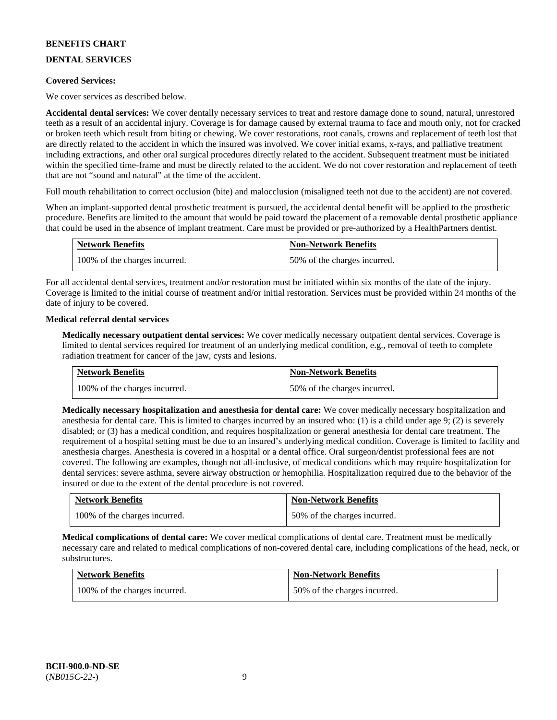# **DENTAL SERVICES**

### **Covered Services:**

We cover services as described below.

**Accidental dental services:** We cover dentally necessary services to treat and restore damage done to sound, natural, unrestored teeth as a result of an accidental injury. Coverage is for damage caused by external trauma to face and mouth only, not for cracked or broken teeth which result from biting or chewing. We cover restorations, root canals, crowns and replacement of teeth lost that are directly related to the accident in which the insured was involved. We cover initial exams, x-rays, and palliative treatment including extractions, and other oral surgical procedures directly related to the accident. Subsequent treatment must be initiated within the specified time-frame and must be directly related to the accident. We do not cover restoration and replacement of teeth that are not "sound and natural" at the time of the accident.

Full mouth rehabilitation to correct occlusion (bite) and malocclusion (misaligned teeth not due to the accident) are not covered.

When an implant-supported dental prosthetic treatment is pursued, the accidental dental benefit will be applied to the prosthetic procedure. Benefits are limited to the amount that would be paid toward the placement of a removable dental prosthetic appliance that could be used in the absence of implant treatment. Care must be provided or pre-authorized by a HealthPartners dentist.

| <b>Network Benefits</b>       | <b>Non-Network Benefits</b>  |
|-------------------------------|------------------------------|
| 100% of the charges incurred. | 50% of the charges incurred. |

For all accidental dental services, treatment and/or restoration must be initiated within six months of the date of the injury. Coverage is limited to the initial course of treatment and/or initial restoration. Services must be provided within 24 months of the date of injury to be covered.

### **Medical referral dental services**

**Medically necessary outpatient dental services:** We cover medically necessary outpatient dental services. Coverage is limited to dental services required for treatment of an underlying medical condition, e.g., removal of teeth to complete radiation treatment for cancer of the jaw, cysts and lesions.

| <b>Network Benefits</b>       | <b>Non-Network Benefits</b>  |
|-------------------------------|------------------------------|
| 100% of the charges incurred. | 50% of the charges incurred. |

**Medically necessary hospitalization and anesthesia for dental care:** We cover medically necessary hospitalization and anesthesia for dental care. This is limited to charges incurred by an insured who: (1) is a child under age 9; (2) is severely disabled; or (3) has a medical condition, and requires hospitalization or general anesthesia for dental care treatment. The requirement of a hospital setting must be due to an insured's underlying medical condition. Coverage is limited to facility and anesthesia charges. Anesthesia is covered in a hospital or a dental office. Oral surgeon/dentist professional fees are not covered. The following are examples, though not all-inclusive, of medical conditions which may require hospitalization for dental services: severe asthma, severe airway obstruction or hemophilia. Hospitalization required due to the behavior of the insured or due to the extent of the dental procedure is not covered.

| <b>Network Benefits</b>       | <b>Non-Network Benefits</b>  |
|-------------------------------|------------------------------|
| 100% of the charges incurred. | 50% of the charges incurred. |

**Medical complications of dental care:** We cover medical complications of dental care. Treatment must be medically necessary care and related to medical complications of non-covered dental care, including complications of the head, neck, or substructures.

| <b>Network Benefits</b>       | <b>Non-Network Benefits</b>  |
|-------------------------------|------------------------------|
| 100% of the charges incurred. | 50% of the charges incurred. |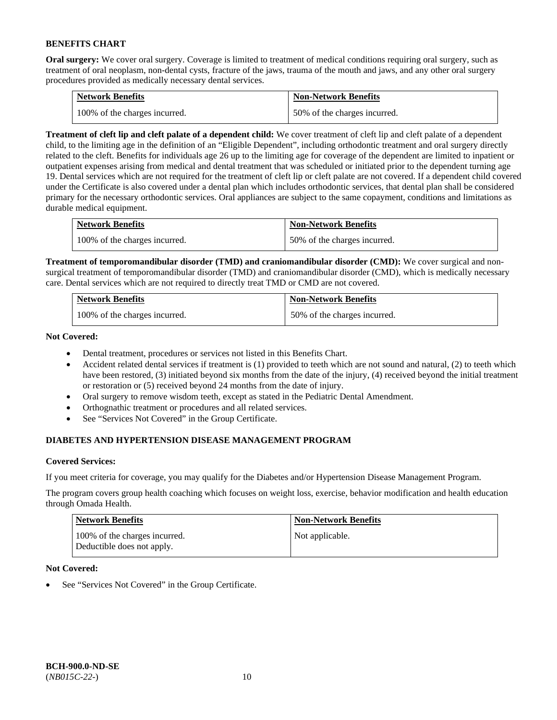**Oral surgery:** We cover oral surgery. Coverage is limited to treatment of medical conditions requiring oral surgery, such as treatment of oral neoplasm, non-dental cysts, fracture of the jaws, trauma of the mouth and jaws, and any other oral surgery procedures provided as medically necessary dental services.

| <b>Network Benefits</b>       | <b>Non-Network Benefits</b>  |
|-------------------------------|------------------------------|
| 100% of the charges incurred. | 50% of the charges incurred. |

**Treatment of cleft lip and cleft palate of a dependent child:** We cover treatment of cleft lip and cleft palate of a dependent child, to the limiting age in the definition of an "Eligible Dependent", including orthodontic treatment and oral surgery directly related to the cleft. Benefits for individuals age 26 up to the limiting age for coverage of the dependent are limited to inpatient or outpatient expenses arising from medical and dental treatment that was scheduled or initiated prior to the dependent turning age 19. Dental services which are not required for the treatment of cleft lip or cleft palate are not covered. If a dependent child covered under the Certificate is also covered under a dental plan which includes orthodontic services, that dental plan shall be considered primary for the necessary orthodontic services. Oral appliances are subject to the same copayment, conditions and limitations as durable medical equipment.

| <b>Network Benefits</b>       | <b>Non-Network Benefits</b>  |
|-------------------------------|------------------------------|
| 100% of the charges incurred. | 50% of the charges incurred. |

**Treatment of temporomandibular disorder (TMD) and craniomandibular disorder (CMD):** We cover surgical and nonsurgical treatment of temporomandibular disorder (TMD) and craniomandibular disorder (CMD), which is medically necessary care. Dental services which are not required to directly treat TMD or CMD are not covered.

| <b>Network Benefits</b>       | <b>Non-Network Benefits</b>  |
|-------------------------------|------------------------------|
| 100% of the charges incurred. | 50% of the charges incurred. |

**Not Covered:** 

- Dental treatment, procedures or services not listed in this Benefits Chart.
- Accident related dental services if treatment is (1) provided to teeth which are not sound and natural, (2) to teeth which have been restored, (3) initiated beyond six months from the date of the injury, (4) received beyond the initial treatment or restoration or (5) received beyond 24 months from the date of injury.
- Oral surgery to remove wisdom teeth, except as stated in the Pediatric Dental Amendment.
- Orthognathic treatment or procedures and all related services.
- See "Services Not Covered" in the Group Certificate.

# **DIABETES AND HYPERTENSION DISEASE MANAGEMENT PROGRAM**

# **Covered Services:**

If you meet criteria for coverage, you may qualify for the Diabetes and/or Hypertension Disease Management Program.

The program covers group health coaching which focuses on weight loss, exercise, behavior modification and health education through Omada Health.

| <b>Network Benefits</b>                                     | <b>Non-Network Benefits</b> |
|-------------------------------------------------------------|-----------------------------|
| 100% of the charges incurred.<br>Deductible does not apply. | Not applicable.             |

# **Not Covered:**

See "Services Not Covered" in the Group Certificate.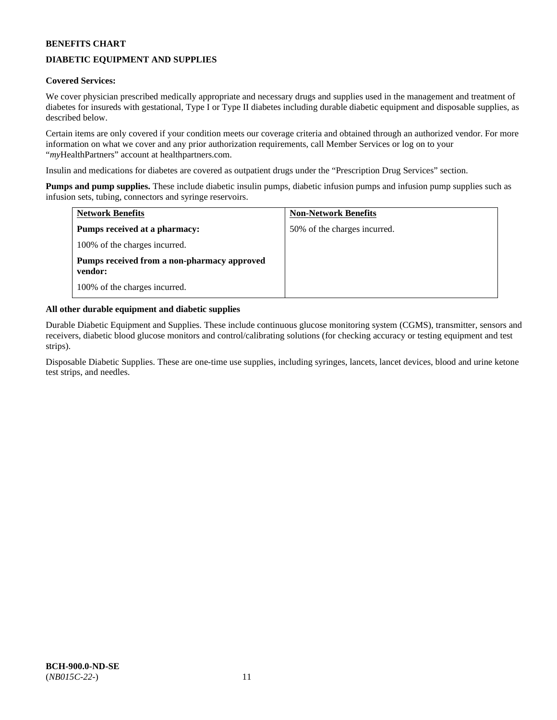# **DIABETIC EQUIPMENT AND SUPPLIES**

# **Covered Services:**

We cover physician prescribed medically appropriate and necessary drugs and supplies used in the management and treatment of diabetes for insureds with gestational, Type I or Type II diabetes including durable diabetic equipment and disposable supplies, as described below.

Certain items are only covered if your condition meets our coverage criteria and obtained through an authorized vendor. For more information on what we cover and any prior authorization requirements, call Member Services or log on to your "*my*HealthPartners" account at [healthpartners.com.](http://www.healthpartners.com/)

Insulin and medications for diabetes are covered as outpatient drugs under the "Prescription Drug Services" section.

**Pumps and pump supplies.** These include diabetic insulin pumps, diabetic infusion pumps and infusion pump supplies such as infusion sets, tubing, connectors and syringe reservoirs.

| <b>Network Benefits</b>                                | <b>Non-Network Benefits</b>  |
|--------------------------------------------------------|------------------------------|
| <b>Pumps received at a pharmacy:</b>                   | 50% of the charges incurred. |
| 100% of the charges incurred.                          |                              |
| Pumps received from a non-pharmacy approved<br>vendor: |                              |
| 100% of the charges incurred.                          |                              |

# **All other durable equipment and diabetic supplies**

Durable Diabetic Equipment and Supplies. These include continuous glucose monitoring system (CGMS), transmitter, sensors and receivers, diabetic blood glucose monitors and control/calibrating solutions (for checking accuracy or testing equipment and test strips).

Disposable Diabetic Supplies. These are one-time use supplies, including syringes, lancets, lancet devices, blood and urine ketone test strips, and needles.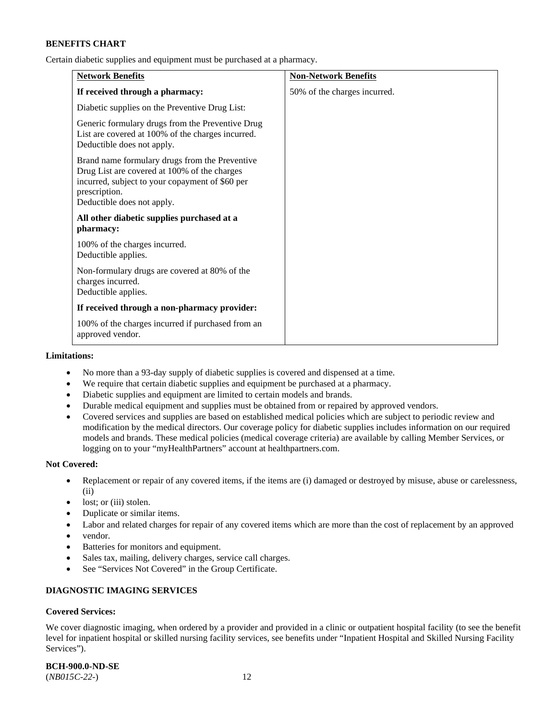Certain diabetic supplies and equipment must be purchased at a pharmacy.

| <b>Network Benefits</b>                                                                                                                                                                          | <b>Non-Network Benefits</b>  |
|--------------------------------------------------------------------------------------------------------------------------------------------------------------------------------------------------|------------------------------|
| If received through a pharmacy:                                                                                                                                                                  | 50% of the charges incurred. |
| Diabetic supplies on the Preventive Drug List:                                                                                                                                                   |                              |
| Generic formulary drugs from the Preventive Drug<br>List are covered at 100% of the charges incurred.<br>Deductible does not apply.                                                              |                              |
| Brand name formulary drugs from the Preventive<br>Drug List are covered at 100% of the charges<br>incurred, subject to your copayment of \$60 per<br>prescription.<br>Deductible does not apply. |                              |
| All other diabetic supplies purchased at a<br>pharmacy:                                                                                                                                          |                              |
| 100% of the charges incurred.<br>Deductible applies.                                                                                                                                             |                              |
| Non-formulary drugs are covered at 80% of the<br>charges incurred.<br>Deductible applies.                                                                                                        |                              |
| If received through a non-pharmacy provider:                                                                                                                                                     |                              |
| 100% of the charges incurred if purchased from an<br>approved vendor.                                                                                                                            |                              |

#### **Limitations:**

- No more than a 93-day supply of diabetic supplies is covered and dispensed at a time.
- We require that certain diabetic supplies and equipment be purchased at a pharmacy.
- Diabetic supplies and equipment are limited to certain models and brands.
- Durable medical equipment and supplies must be obtained from or repaired by approved vendors.
- Covered services and supplies are based on established medical policies which are subject to periodic review and modification by the medical directors. Our coverage policy for diabetic supplies includes information on our required models and brands. These medical policies (medical coverage criteria) are available by calling Member Services, or logging on to your "myHealthPartners" account a[t healthpartners.com.](http://www.healthpartners.com/)

### **Not Covered:**

- Replacement or repair of any covered items, if the items are (i) damaged or destroyed by misuse, abuse or carelessness, (ii)
- lost; or (iii) stolen.
- Duplicate or similar items.
- Labor and related charges for repair of any covered items which are more than the cost of replacement by an approved
- vendor.
- Batteries for monitors and equipment.
- Sales tax, mailing, delivery charges, service call charges.
- See "Services Not Covered" in the Group Certificate.

# **DIAGNOSTIC IMAGING SERVICES**

# **Covered Services:**

We cover diagnostic imaging, when ordered by a provider and provided in a clinic or outpatient hospital facility (to see the benefit level for inpatient hospital or skilled nursing facility services, see benefits under "Inpatient Hospital and Skilled Nursing Facility Services").

**BCH-900.0-ND-SE**

(*NB015C-22-*) 12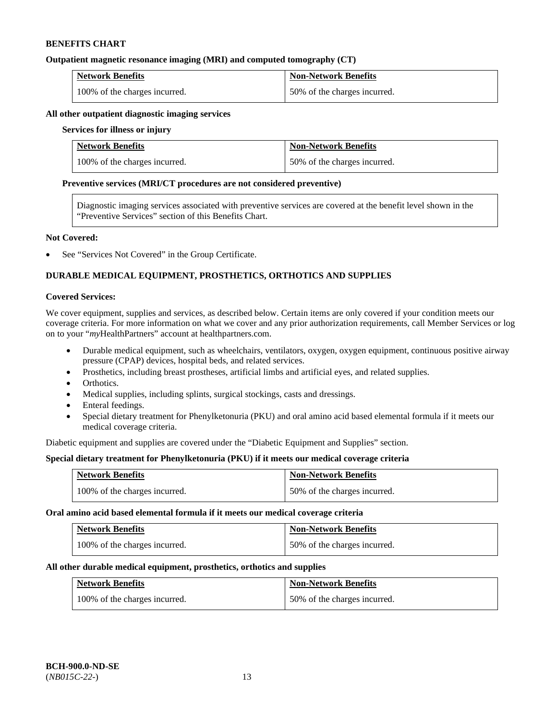### **Outpatient magnetic resonance imaging (MRI) and computed tomography (CT)**

| <b>Network Benefits</b>       | <b>Non-Network Benefits</b>  |
|-------------------------------|------------------------------|
| 100% of the charges incurred. | 50% of the charges incurred. |

### **All other outpatient diagnostic imaging services**

### **Services for illness or injury**

| <b>Network Benefits</b>       | <b>Non-Network Benefits</b>  |
|-------------------------------|------------------------------|
| 100% of the charges incurred. | 50% of the charges incurred. |

#### **Preventive services (MRI/CT procedures are not considered preventive)**

Diagnostic imaging services associated with preventive services are covered at the benefit level shown in the "Preventive Services" section of this Benefits Chart.

### **Not Covered:**

See "Services Not Covered" in the Group Certificate.

# **DURABLE MEDICAL EQUIPMENT, PROSTHETICS, ORTHOTICS AND SUPPLIES**

### **Covered Services:**

We cover equipment, supplies and services, as described below. Certain items are only covered if your condition meets our coverage criteria. For more information on what we cover and any prior authorization requirements, call Member Services or log on to your "*my*HealthPartners" account at [healthpartners.com.](http://www.healthpartners.com/)

- Durable medical equipment, such as wheelchairs, ventilators, oxygen, oxygen equipment, continuous positive airway pressure (CPAP) devices, hospital beds, and related services.
- Prosthetics, including breast prostheses, artificial limbs and artificial eyes, and related supplies.
- Orthotics.
- Medical supplies, including splints, surgical stockings, casts and dressings.
- Enteral feedings.
- Special dietary treatment for Phenylketonuria (PKU) and oral amino acid based elemental formula if it meets our medical coverage criteria.

Diabetic equipment and supplies are covered under the "Diabetic Equipment and Supplies" section.

# **Special dietary treatment for Phenylketonuria (PKU) if it meets our medical coverage criteria**

| <b>Network Benefits</b>       | <b>Non-Network Benefits</b>  |
|-------------------------------|------------------------------|
| 100% of the charges incurred. | 50% of the charges incurred. |

#### **Oral amino acid based elemental formula if it meets our medical coverage criteria**

| <b>Network Benefits</b>       | Non-Network Benefits         |
|-------------------------------|------------------------------|
| 100% of the charges incurred. | 50% of the charges incurred. |

#### **All other durable medical equipment, prosthetics, orthotics and supplies**

| <b>Network Benefits</b>       | <b>Non-Network Benefits</b>  |
|-------------------------------|------------------------------|
| 100% of the charges incurred. | 50% of the charges incurred. |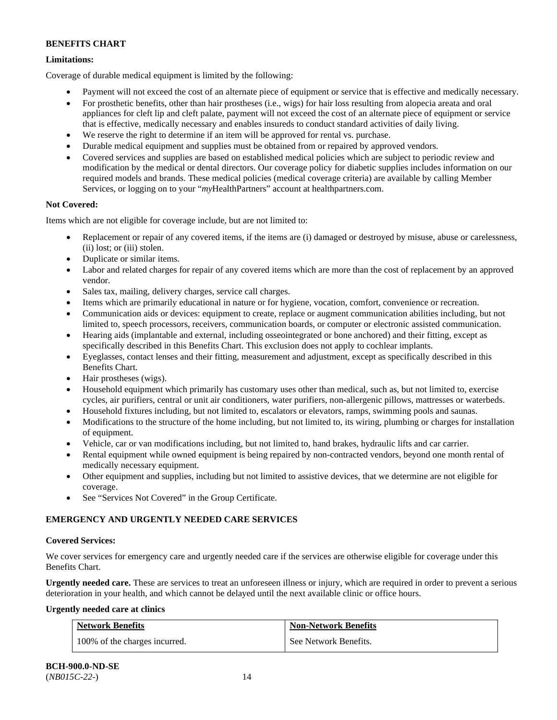# **Limitations:**

Coverage of durable medical equipment is limited by the following:

- Payment will not exceed the cost of an alternate piece of equipment or service that is effective and medically necessary.
- For prosthetic benefits, other than hair prostheses (i.e., wigs) for hair loss resulting from alopecia areata and oral appliances for cleft lip and cleft palate, payment will not exceed the cost of an alternate piece of equipment or service that is effective, medically necessary and enables insureds to conduct standard activities of daily living.
- We reserve the right to determine if an item will be approved for rental vs. purchase.
- Durable medical equipment and supplies must be obtained from or repaired by approved vendors.
- Covered services and supplies are based on established medical policies which are subject to periodic review and modification by the medical or dental directors. Our coverage policy for diabetic supplies includes information on our required models and brands. These medical policies (medical coverage criteria) are available by calling Member Services, or logging on to your "*my*HealthPartners" account at [healthpartners.com.](http://www.healthpartners.com/)

# **Not Covered:**

Items which are not eligible for coverage include, but are not limited to:

- Replacement or repair of any covered items, if the items are (i) damaged or destroyed by misuse, abuse or carelessness, (ii) lost; or (iii) stolen.
- Duplicate or similar items.
- Labor and related charges for repair of any covered items which are more than the cost of replacement by an approved vendor.
- Sales tax, mailing, delivery charges, service call charges.
- Items which are primarily educational in nature or for hygiene, vocation, comfort, convenience or recreation.
- Communication aids or devices: equipment to create, replace or augment communication abilities including, but not limited to, speech processors, receivers, communication boards, or computer or electronic assisted communication.
- Hearing aids (implantable and external, including osseointegrated or bone anchored) and their fitting, except as specifically described in this Benefits Chart. This exclusion does not apply to cochlear implants.
- Eyeglasses, contact lenses and their fitting, measurement and adjustment, except as specifically described in this Benefits Chart.
- Hair prostheses (wigs).
- Household equipment which primarily has customary uses other than medical, such as, but not limited to, exercise cycles, air purifiers, central or unit air conditioners, water purifiers, non-allergenic pillows, mattresses or waterbeds.
- Household fixtures including, but not limited to, escalators or elevators, ramps, swimming pools and saunas.
- Modifications to the structure of the home including, but not limited to, its wiring, plumbing or charges for installation of equipment.
- Vehicle, car or van modifications including, but not limited to, hand brakes, hydraulic lifts and car carrier.
- Rental equipment while owned equipment is being repaired by non-contracted vendors, beyond one month rental of medically necessary equipment.
- Other equipment and supplies, including but not limited to assistive devices, that we determine are not eligible for coverage.
- See "Services Not Covered" in the Group Certificate.

# **EMERGENCY AND URGENTLY NEEDED CARE SERVICES**

# **Covered Services:**

We cover services for emergency care and urgently needed care if the services are otherwise eligible for coverage under this Benefits Chart.

**Urgently needed care.** These are services to treat an unforeseen illness or injury, which are required in order to prevent a serious deterioration in your health, and which cannot be delayed until the next available clinic or office hours.

# **Urgently needed care at clinics**

| <b>Network Benefits</b>       | <b>Non-Network Benefits</b> |
|-------------------------------|-----------------------------|
| 100% of the charges incurred. | See Network Benefits.       |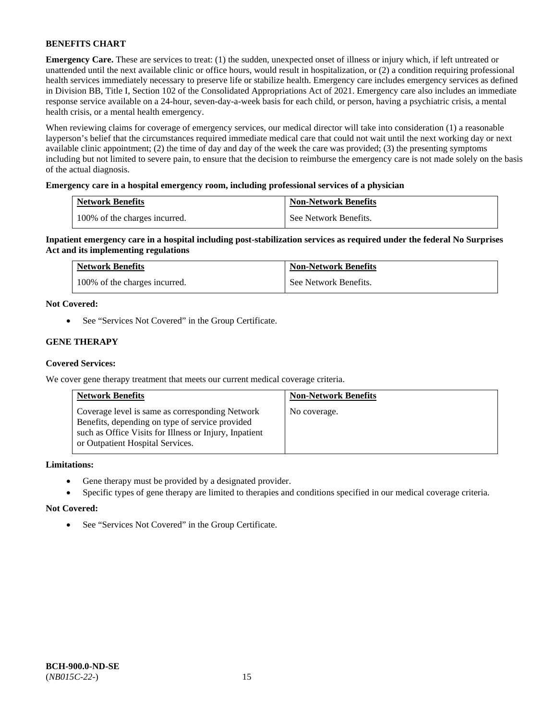**Emergency Care.** These are services to treat: (1) the sudden, unexpected onset of illness or injury which, if left untreated or unattended until the next available clinic or office hours, would result in hospitalization, or (2) a condition requiring professional health services immediately necessary to preserve life or stabilize health. Emergency care includes emergency services as defined in Division BB, Title I, Section 102 of the Consolidated Appropriations Act of 2021. Emergency care also includes an immediate response service available on a 24-hour, seven-day-a-week basis for each child, or person, having a psychiatric crisis, a mental health crisis, or a mental health emergency.

When reviewing claims for coverage of emergency services, our medical director will take into consideration (1) a reasonable layperson's belief that the circumstances required immediate medical care that could not wait until the next working day or next available clinic appointment; (2) the time of day and day of the week the care was provided; (3) the presenting symptoms including but not limited to severe pain, to ensure that the decision to reimburse the emergency care is not made solely on the basis of the actual diagnosis.

# **Emergency care in a hospital emergency room, including professional services of a physician**

| <b>Network Benefits</b>       | <b>Non-Network Benefits</b> |
|-------------------------------|-----------------------------|
| 100% of the charges incurred. | See Network Benefits.       |

**Inpatient emergency care in a hospital including post-stabilization services as required under the federal No Surprises Act and its implementing regulations**

| <b>Network Benefits</b>       | <b>Non-Network Benefits</b> |
|-------------------------------|-----------------------------|
| 100% of the charges incurred. | See Network Benefits.       |

### **Not Covered:**

• See "Services Not Covered" in the Group Certificate.

# **GENE THERAPY**

### **Covered Services:**

We cover gene therapy treatment that meets our current medical coverage criteria.

| <b>Network Benefits</b>                                                                                                                                                                          | <b>Non-Network Benefits</b> |
|--------------------------------------------------------------------------------------------------------------------------------------------------------------------------------------------------|-----------------------------|
| Coverage level is same as corresponding Network<br>Benefits, depending on type of service provided<br>such as Office Visits for Illness or Injury, Inpatient<br>or Outpatient Hospital Services. | No coverage.                |

### **Limitations:**

- Gene therapy must be provided by a designated provider.
- Specific types of gene therapy are limited to therapies and conditions specified in our medical coverage criteria.

#### **Not Covered:**

• See "Services Not Covered" in the Group Certificate.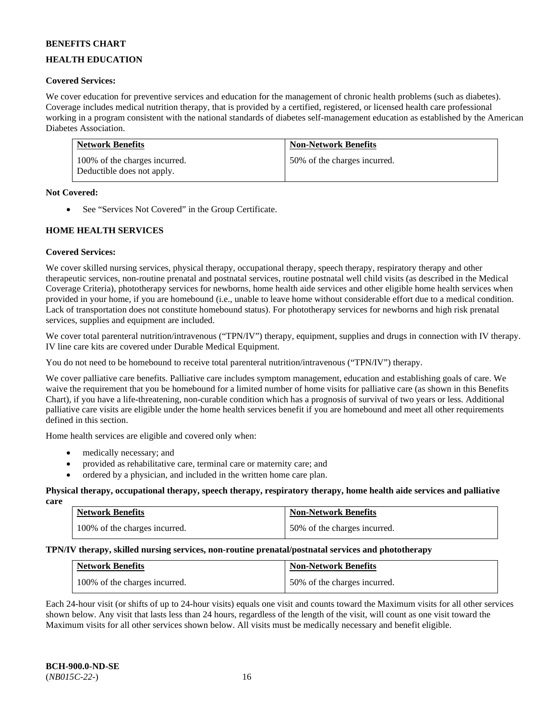# **HEALTH EDUCATION**

### **Covered Services:**

We cover education for preventive services and education for the management of chronic health problems (such as diabetes). Coverage includes medical nutrition therapy, that is provided by a certified, registered, or licensed health care professional working in a program consistent with the national standards of diabetes self-management education as established by the American Diabetes Association.

| <b>Network Benefits</b>                                     | <b>Non-Network Benefits</b>  |
|-------------------------------------------------------------|------------------------------|
| 100% of the charges incurred.<br>Deductible does not apply. | 50% of the charges incurred. |

### **Not Covered:**

• See "Services Not Covered" in the Group Certificate.

# **HOME HEALTH SERVICES**

### **Covered Services:**

We cover skilled nursing services, physical therapy, occupational therapy, speech therapy, respiratory therapy and other therapeutic services, non-routine prenatal and postnatal services, routine postnatal well child visits (as described in the Medical Coverage Criteria), phototherapy services for newborns, home health aide services and other eligible home health services when provided in your home, if you are homebound (i.e., unable to leave home without considerable effort due to a medical condition. Lack of transportation does not constitute homebound status). For phototherapy services for newborns and high risk prenatal services, supplies and equipment are included.

We cover total parenteral nutrition/intravenous ("TPN/IV") therapy, equipment, supplies and drugs in connection with IV therapy. IV line care kits are covered under Durable Medical Equipment.

You do not need to be homebound to receive total parenteral nutrition/intravenous ("TPN/IV") therapy.

We cover palliative care benefits. Palliative care includes symptom management, education and establishing goals of care. We waive the requirement that you be homebound for a limited number of home visits for palliative care (as shown in this Benefits Chart), if you have a life-threatening, non-curable condition which has a prognosis of survival of two years or less. Additional palliative care visits are eligible under the home health services benefit if you are homebound and meet all other requirements defined in this section.

Home health services are eligible and covered only when:

- medically necessary; and
- provided as rehabilitative care, terminal care or maternity care; and
- ordered by a physician, and included in the written home care plan.

#### **Physical therapy, occupational therapy, speech therapy, respiratory therapy, home health aide services and palliative care**

| <b>Network Benefits</b>       | <b>Non-Network Benefits</b>  |
|-------------------------------|------------------------------|
| 100% of the charges incurred. | 50% of the charges incurred. |

# **TPN/IV therapy, skilled nursing services, non-routine prenatal/postnatal services and phototherapy**

| <b>Network Benefits</b>       | <b>Non-Network Benefits</b>  |
|-------------------------------|------------------------------|
| 100% of the charges incurred. | 50% of the charges incurred. |

Each 24-hour visit (or shifts of up to 24-hour visits) equals one visit and counts toward the Maximum visits for all other services shown below. Any visit that lasts less than 24 hours, regardless of the length of the visit, will count as one visit toward the Maximum visits for all other services shown below. All visits must be medically necessary and benefit eligible.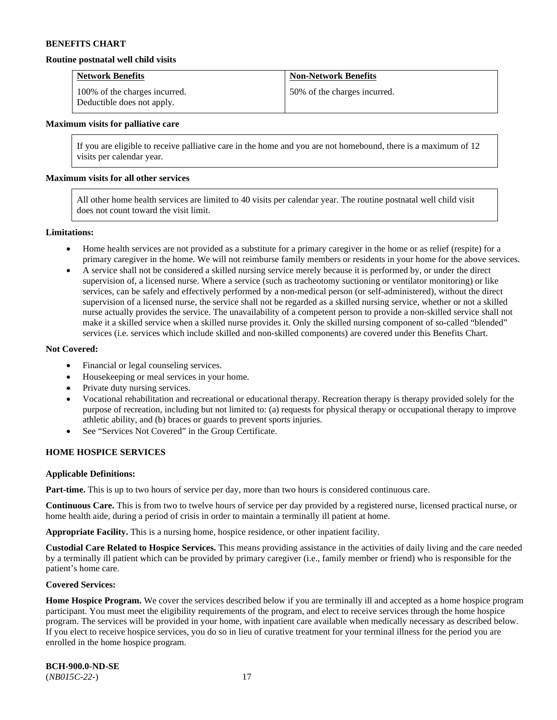#### **Routine postnatal well child visits**

| <b>Network Benefits</b>                                     | <b>Non-Network Benefits</b>  |
|-------------------------------------------------------------|------------------------------|
| 100% of the charges incurred.<br>Deductible does not apply. | 50% of the charges incurred. |

#### **Maximum visits for palliative care**

If you are eligible to receive palliative care in the home and you are not homebound, there is a maximum of 12 visits per calendar year.

### **Maximum visits for all other services**

All other home health services are limited to 40 visits per calendar year. The routine postnatal well child visit does not count toward the visit limit.

#### **Limitations:**

- Home health services are not provided as a substitute for a primary caregiver in the home or as relief (respite) for a primary caregiver in the home. We will not reimburse family members or residents in your home for the above services.
- A service shall not be considered a skilled nursing service merely because it is performed by, or under the direct supervision of, a licensed nurse. Where a service (such as tracheotomy suctioning or ventilator monitoring) or like services, can be safely and effectively performed by a non-medical person (or self-administered), without the direct supervision of a licensed nurse, the service shall not be regarded as a skilled nursing service, whether or not a skilled nurse actually provides the service. The unavailability of a competent person to provide a non-skilled service shall not make it a skilled service when a skilled nurse provides it. Only the skilled nursing component of so-called "blended" services (i.e. services which include skilled and non-skilled components) are covered under this Benefits Chart.

#### **Not Covered:**

- Financial or legal counseling services.
- Housekeeping or meal services in your home.
- Private duty nursing services.
- Vocational rehabilitation and recreational or educational therapy. Recreation therapy is therapy provided solely for the purpose of recreation, including but not limited to: (a) requests for physical therapy or occupational therapy to improve athletic ability, and (b) braces or guards to prevent sports injuries.
- See "Services Not Covered" in the Group Certificate.

### **HOME HOSPICE SERVICES**

#### **Applicable Definitions:**

**Part-time.** This is up to two hours of service per day, more than two hours is considered continuous care.

**Continuous Care.** This is from two to twelve hours of service per day provided by a registered nurse, licensed practical nurse, or home health aide, during a period of crisis in order to maintain a terminally ill patient at home.

**Appropriate Facility.** This is a nursing home, hospice residence, or other inpatient facility.

**Custodial Care Related to Hospice Services.** This means providing assistance in the activities of daily living and the care needed by a terminally ill patient which can be provided by primary caregiver (i.e., family member or friend) who is responsible for the patient's home care.

#### **Covered Services:**

Home Hospice Program. We cover the services described below if you are terminally ill and accepted as a home hospice program participant. You must meet the eligibility requirements of the program, and elect to receive services through the home hospice program. The services will be provided in your home, with inpatient care available when medically necessary as described below. If you elect to receive hospice services, you do so in lieu of curative treatment for your terminal illness for the period you are enrolled in the home hospice program.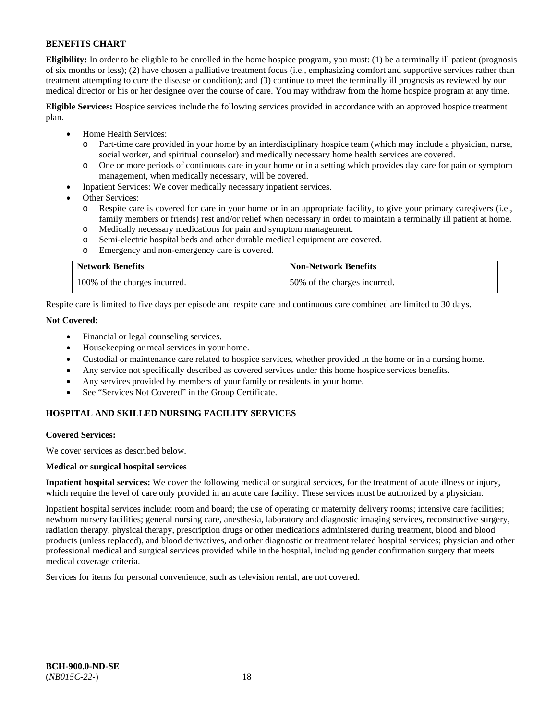**Eligibility:** In order to be eligible to be enrolled in the home hospice program, you must: (1) be a terminally ill patient (prognosis of six months or less); (2) have chosen a palliative treatment focus (i.e., emphasizing comfort and supportive services rather than treatment attempting to cure the disease or condition); and (3) continue to meet the terminally ill prognosis as reviewed by our medical director or his or her designee over the course of care. You may withdraw from the home hospice program at any time.

**Eligible Services:** Hospice services include the following services provided in accordance with an approved hospice treatment plan.

- Home Health Services:
	- o Part-time care provided in your home by an interdisciplinary hospice team (which may include a physician, nurse, social worker, and spiritual counselor) and medically necessary home health services are covered.
	- o One or more periods of continuous care in your home or in a setting which provides day care for pain or symptom management, when medically necessary, will be covered.
- Inpatient Services: We cover medically necessary inpatient services.
- Other Services:
	- Respite care is covered for care in your home or in an appropriate facility, to give your primary caregivers (i.e., family members or friends) rest and/or relief when necessary in order to maintain a terminally ill patient at home.
	- o Medically necessary medications for pain and symptom management.
	- Semi-electric hospital beds and other durable medical equipment are covered.
	- o Emergency and non-emergency care is covered.

| <b>Network Benefits</b>       | <b>Non-Network Benefits</b>  |
|-------------------------------|------------------------------|
| 100% of the charges incurred. | 50% of the charges incurred. |

Respite care is limited to five days per episode and respite care and continuous care combined are limited to 30 days.

# **Not Covered:**

- Financial or legal counseling services.
- Housekeeping or meal services in your home.
- Custodial or maintenance care related to hospice services, whether provided in the home or in a nursing home.
- Any service not specifically described as covered services under this home hospice services benefits.
- Any services provided by members of your family or residents in your home.
- See "Services Not Covered" in the Group Certificate.

# **HOSPITAL AND SKILLED NURSING FACILITY SERVICES**

#### **Covered Services:**

We cover services as described below.

#### **Medical or surgical hospital services**

**Inpatient hospital services:** We cover the following medical or surgical services, for the treatment of acute illness or injury, which require the level of care only provided in an acute care facility. These services must be authorized by a physician.

Inpatient hospital services include: room and board; the use of operating or maternity delivery rooms; intensive care facilities; newborn nursery facilities; general nursing care, anesthesia, laboratory and diagnostic imaging services, reconstructive surgery, radiation therapy, physical therapy, prescription drugs or other medications administered during treatment, blood and blood products (unless replaced), and blood derivatives, and other diagnostic or treatment related hospital services; physician and other professional medical and surgical services provided while in the hospital, including gender confirmation surgery that meets medical coverage criteria.

Services for items for personal convenience, such as television rental, are not covered.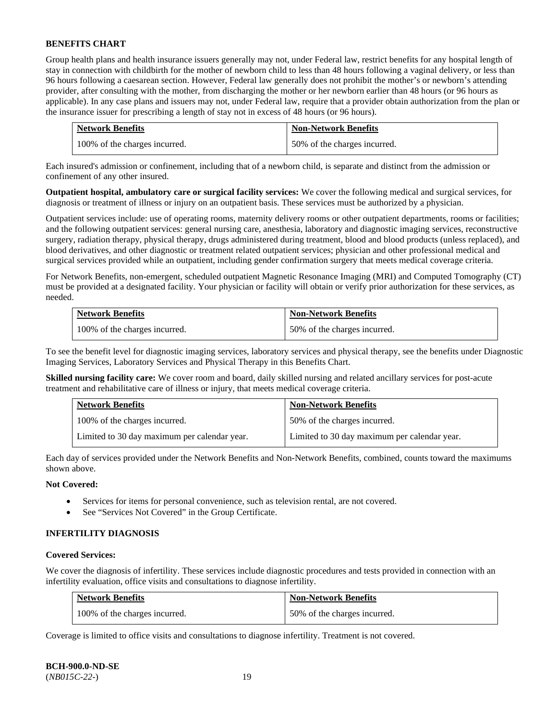Group health plans and health insurance issuers generally may not, under Federal law, restrict benefits for any hospital length of stay in connection with childbirth for the mother of newborn child to less than 48 hours following a vaginal delivery, or less than 96 hours following a caesarean section. However, Federal law generally does not prohibit the mother's or newborn's attending provider, after consulting with the mother, from discharging the mother or her newborn earlier than 48 hours (or 96 hours as applicable). In any case plans and issuers may not, under Federal law, require that a provider obtain authorization from the plan or the insurance issuer for prescribing a length of stay not in excess of 48 hours (or 96 hours).

| <b>Network Benefits</b>       | <b>Non-Network Benefits</b>  |
|-------------------------------|------------------------------|
| 100% of the charges incurred. | 50% of the charges incurred. |

Each insured's admission or confinement, including that of a newborn child, is separate and distinct from the admission or confinement of any other insured.

**Outpatient hospital, ambulatory care or surgical facility services:** We cover the following medical and surgical services, for diagnosis or treatment of illness or injury on an outpatient basis. These services must be authorized by a physician.

Outpatient services include: use of operating rooms, maternity delivery rooms or other outpatient departments, rooms or facilities; and the following outpatient services: general nursing care, anesthesia, laboratory and diagnostic imaging services, reconstructive surgery, radiation therapy, physical therapy, drugs administered during treatment, blood and blood products (unless replaced), and blood derivatives, and other diagnostic or treatment related outpatient services; physician and other professional medical and surgical services provided while an outpatient, including gender confirmation surgery that meets medical coverage criteria.

For Network Benefits, non-emergent, scheduled outpatient Magnetic Resonance Imaging (MRI) and Computed Tomography (CT) must be provided at a designated facility. Your physician or facility will obtain or verify prior authorization for these services, as needed.

| <b>Network Benefits</b>       | <b>Non-Network Benefits</b>  |
|-------------------------------|------------------------------|
| 100% of the charges incurred. | 50% of the charges incurred. |

To see the benefit level for diagnostic imaging services, laboratory services and physical therapy, see the benefits under Diagnostic Imaging Services, Laboratory Services and Physical Therapy in this Benefits Chart.

**Skilled nursing facility care:** We cover room and board, daily skilled nursing and related ancillary services for post-acute treatment and rehabilitative care of illness or injury, that meets medical coverage criteria.

| <b>Network Benefits</b>                      | <b>Non-Network Benefits</b>                  |
|----------------------------------------------|----------------------------------------------|
| 100% of the charges incurred.                | 50% of the charges incurred.                 |
| Limited to 30 day maximum per calendar year. | Limited to 30 day maximum per calendar year. |

Each day of services provided under the Network Benefits and Non-Network Benefits, combined, counts toward the maximums shown above.

# **Not Covered:**

- Services for items for personal convenience, such as television rental, are not covered.
- See "Services Not Covered" in the Group Certificate.

# **INFERTILITY DIAGNOSIS**

### **Covered Services:**

We cover the diagnosis of infertility. These services include diagnostic procedures and tests provided in connection with an infertility evaluation, office visits and consultations to diagnose infertility.

| <b>Network Benefits</b>       | <b>Non-Network Benefits</b>  |
|-------------------------------|------------------------------|
| 100% of the charges incurred. | 50% of the charges incurred. |

Coverage is limited to office visits and consultations to diagnose infertility. Treatment is not covered.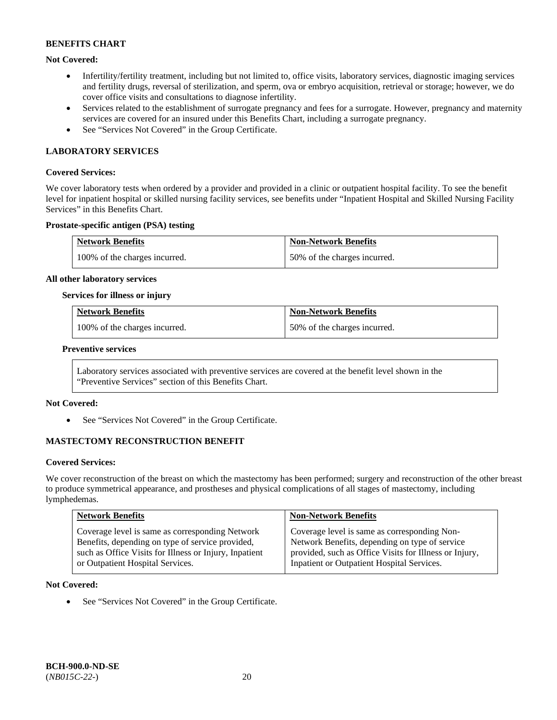# **Not Covered:**

- Infertility/fertility treatment, including but not limited to, office visits, laboratory services, diagnostic imaging services and fertility drugs, reversal of sterilization, and sperm, ova or embryo acquisition, retrieval or storage; however, we do cover office visits and consultations to diagnose infertility.
- Services related to the establishment of surrogate pregnancy and fees for a surrogate. However, pregnancy and maternity services are covered for an insured under this Benefits Chart, including a surrogate pregnancy.
- See "Services Not Covered" in the Group Certificate.

# **LABORATORY SERVICES**

### **Covered Services:**

We cover laboratory tests when ordered by a provider and provided in a clinic or outpatient hospital facility. To see the benefit level for inpatient hospital or skilled nursing facility services, see benefits under "Inpatient Hospital and Skilled Nursing Facility Services" in this Benefits Chart.

### **Prostate-specific antigen (PSA) testing**

| <b>Network Benefits</b>       | <b>Non-Network Benefits</b>  |
|-------------------------------|------------------------------|
| 100% of the charges incurred. | 50% of the charges incurred. |

#### **All other laboratory services**

#### **Services for illness or injury**

| <b>Network Benefits</b>       | <b>Non-Network Benefits</b>  |
|-------------------------------|------------------------------|
| 100% of the charges incurred. | 50% of the charges incurred. |

### **Preventive services**

Laboratory services associated with preventive services are covered at the benefit level shown in the "Preventive Services" section of this Benefits Chart.

#### **Not Covered:**

See "Services Not Covered" in the Group Certificate.

# **MASTECTOMY RECONSTRUCTION BENEFIT**

#### **Covered Services:**

We cover reconstruction of the breast on which the mastectomy has been performed; surgery and reconstruction of the other breast to produce symmetrical appearance, and prostheses and physical complications of all stages of mastectomy, including lymphedemas.

| <b>Network Benefits</b>                                | <b>Non-Network Benefits</b>                            |
|--------------------------------------------------------|--------------------------------------------------------|
| Coverage level is same as corresponding Network        | Coverage level is same as corresponding Non-           |
| Benefits, depending on type of service provided,       | Network Benefits, depending on type of service         |
| such as Office Visits for Illness or Injury, Inpatient | provided, such as Office Visits for Illness or Injury, |
| or Outpatient Hospital Services.                       | Inpatient or Outpatient Hospital Services.             |

### **Not Covered:**

• See "Services Not Covered" in the Group Certificate.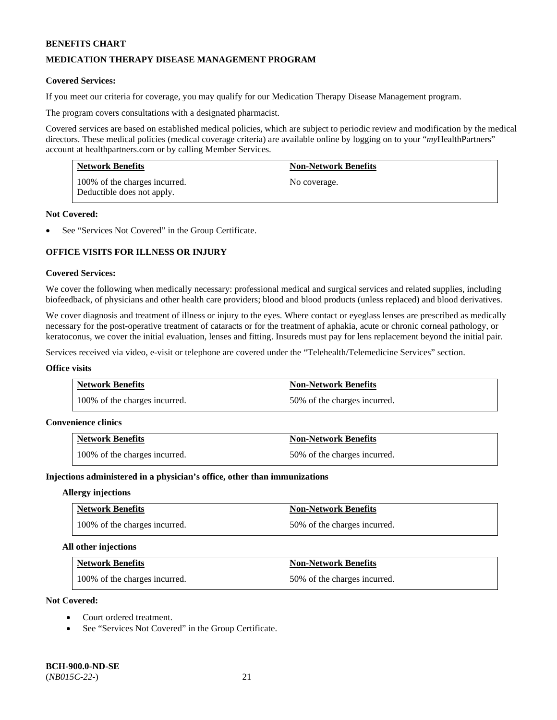# **MEDICATION THERAPY DISEASE MANAGEMENT PROGRAM**

### **Covered Services:**

If you meet our criteria for coverage, you may qualify for our Medication Therapy Disease Management program.

The program covers consultations with a designated pharmacist.

Covered services are based on established medical policies, which are subject to periodic review and modification by the medical directors. These medical policies (medical coverage criteria) are available online by logging on to your "*my*HealthPartners" account a[t healthpartners.com](http://www.healthpartners.com/) or by calling Member Services.

| <b>Network Benefits</b>                                     | <b>Non-Network Benefits</b> |
|-------------------------------------------------------------|-----------------------------|
| 100% of the charges incurred.<br>Deductible does not apply. | No coverage.                |

#### **Not Covered:**

See "Services Not Covered" in the Group Certificate.

# **OFFICE VISITS FOR ILLNESS OR INJURY**

### **Covered Services:**

We cover the following when medically necessary: professional medical and surgical services and related supplies, including biofeedback, of physicians and other health care providers; blood and blood products (unless replaced) and blood derivatives.

We cover diagnosis and treatment of illness or injury to the eyes. Where contact or eyeglass lenses are prescribed as medically necessary for the post-operative treatment of cataracts or for the treatment of aphakia, acute or chronic corneal pathology, or keratoconus, we cover the initial evaluation, lenses and fitting. Insureds must pay for lens replacement beyond the initial pair.

Services received via video, e-visit or telephone are covered under the "Telehealth/Telemedicine Services" section.

#### **Office visits**

| <b>Network Benefits</b>       | <b>Non-Network Benefits</b>  |
|-------------------------------|------------------------------|
| 100% of the charges incurred. | 50% of the charges incurred. |

#### **Convenience clinics**

| <b>Network Benefits</b>       | <b>Non-Network Benefits</b>  |
|-------------------------------|------------------------------|
| 100% of the charges incurred. | 50% of the charges incurred. |

#### **Injections administered in a physician's office, other than immunizations**

#### **Allergy injections**

| <b>Network Benefits</b>       | <b>Non-Network Benefits</b>  |
|-------------------------------|------------------------------|
| 100% of the charges incurred. | 50% of the charges incurred. |

#### **All other injections**

| <b>Network Benefits</b>       | <b>Non-Network Benefits</b>  |
|-------------------------------|------------------------------|
| 100% of the charges incurred. | 50% of the charges incurred. |

# **Not Covered:**

- Court ordered treatment.
- See "Services Not Covered" in the Group Certificate.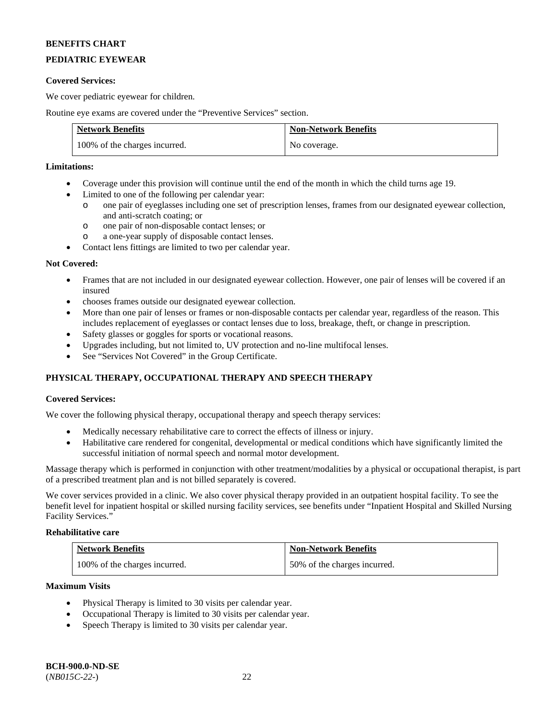# **PEDIATRIC EYEWEAR**

### **Covered Services:**

We cover pediatric eyewear for children.

Routine eye exams are covered under the "Preventive Services" section.

| <b>Network Benefits</b>       | <b>Non-Network Benefits</b> |
|-------------------------------|-----------------------------|
| 100% of the charges incurred. | No coverage.                |

### **Limitations:**

- Coverage under this provision will continue until the end of the month in which the child turns age 19.
- Limited to one of the following per calendar year:
	- o one pair of eyeglasses including one set of prescription lenses, frames from our designated eyewear collection, and anti-scratch coating; or
	- o one pair of non-disposable contact lenses; or
	- o a one-year supply of disposable contact lenses.
- Contact lens fittings are limited to two per calendar year.

### **Not Covered:**

- Frames that are not included in our designated eyewear collection. However, one pair of lenses will be covered if an insured
- chooses frames outside our designated eyewear collection.
- More than one pair of lenses or frames or non-disposable contacts per calendar year, regardless of the reason. This includes replacement of eyeglasses or contact lenses due to loss, breakage, theft, or change in prescription.
- Safety glasses or goggles for sports or vocational reasons.
- Upgrades including, but not limited to, UV protection and no-line multifocal lenses.
- See "Services Not Covered" in the Group Certificate.

# **PHYSICAL THERAPY, OCCUPATIONAL THERAPY AND SPEECH THERAPY**

# **Covered Services:**

We cover the following physical therapy, occupational therapy and speech therapy services:

- Medically necessary rehabilitative care to correct the effects of illness or injury.
- Habilitative care rendered for congenital, developmental or medical conditions which have significantly limited the successful initiation of normal speech and normal motor development.

Massage therapy which is performed in conjunction with other treatment/modalities by a physical or occupational therapist, is part of a prescribed treatment plan and is not billed separately is covered.

We cover services provided in a clinic. We also cover physical therapy provided in an outpatient hospital facility. To see the benefit level for inpatient hospital or skilled nursing facility services, see benefits under "Inpatient Hospital and Skilled Nursing Facility Services."

# **Rehabilitative care**

| <b>Network Benefits</b>       | <b>Non-Network Benefits</b>  |
|-------------------------------|------------------------------|
| 100% of the charges incurred. | 50% of the charges incurred. |

### **Maximum Visits**

- Physical Therapy is limited to 30 visits per calendar year.
- Occupational Therapy is limited to 30 visits per calendar year.
- Speech Therapy is limited to 30 visits per calendar year.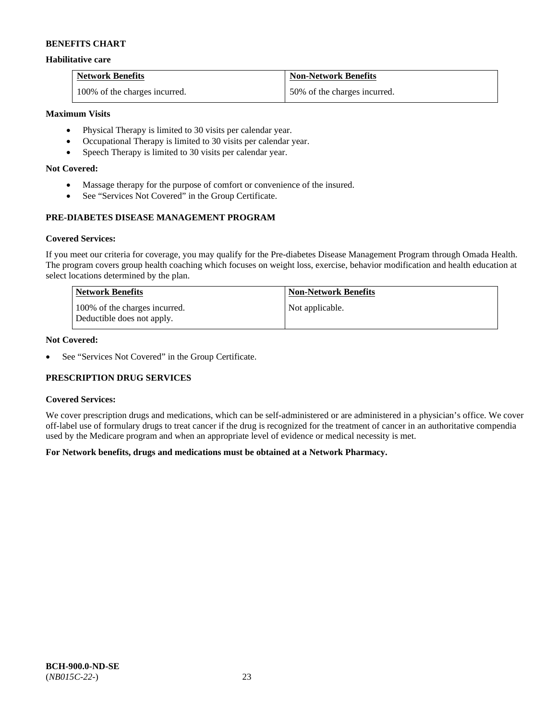### **Habilitative care**

| <b>Network Benefits</b>       | <b>Non-Network Benefits</b>  |
|-------------------------------|------------------------------|
| 100% of the charges incurred. | 50% of the charges incurred. |

### **Maximum Visits**

- Physical Therapy is limited to 30 visits per calendar year.
- Occupational Therapy is limited to 30 visits per calendar year.
- Speech Therapy is limited to 30 visits per calendar year.

### **Not Covered:**

- Massage therapy for the purpose of comfort or convenience of the insured.
- See "Services Not Covered" in the Group Certificate.

# **PRE-DIABETES DISEASE MANAGEMENT PROGRAM**

### **Covered Services:**

If you meet our criteria for coverage, you may qualify for the Pre-diabetes Disease Management Program through Omada Health. The program covers group health coaching which focuses on weight loss, exercise, behavior modification and health education at select locations determined by the plan.

| Network Benefits                                            | <b>Non-Network Benefits</b> |
|-------------------------------------------------------------|-----------------------------|
| 100% of the charges incurred.<br>Deductible does not apply. | Not applicable.             |

# **Not Covered:**

• See "Services Not Covered" in the Group Certificate.

# **PRESCRIPTION DRUG SERVICES**

#### **Covered Services:**

We cover prescription drugs and medications, which can be self-administered or are administered in a physician's office. We cover off-label use of formulary drugs to treat cancer if the drug is recognized for the treatment of cancer in an authoritative compendia used by the Medicare program and when an appropriate level of evidence or medical necessity is met.

# **For Network benefits, drugs and medications must be obtained at a Network Pharmacy.**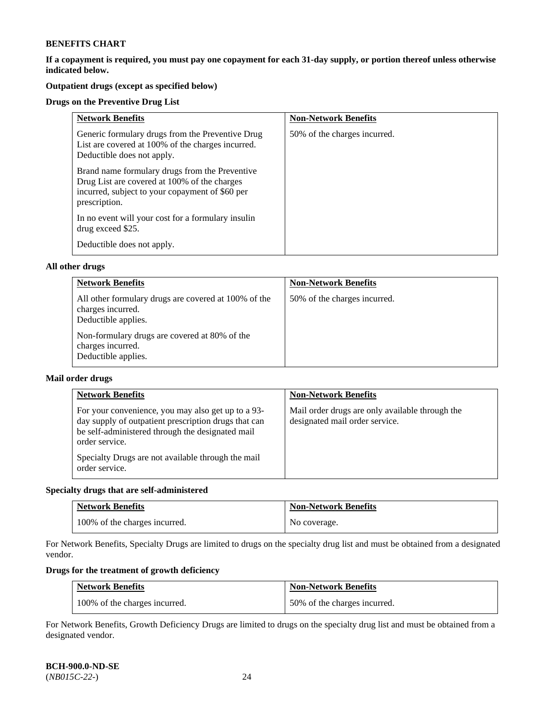**If a copayment is required, you must pay one copayment for each 31-day supply, or portion thereof unless otherwise indicated below.** 

# **Outpatient drugs (except as specified below)**

### **Drugs on the Preventive Drug List**

| <b>Network Benefits</b>                                                                                                                                            | <b>Non-Network Benefits</b>  |
|--------------------------------------------------------------------------------------------------------------------------------------------------------------------|------------------------------|
| Generic formulary drugs from the Preventive Drug<br>List are covered at 100% of the charges incurred.<br>Deductible does not apply.                                | 50% of the charges incurred. |
| Brand name formulary drugs from the Preventive<br>Drug List are covered at 100% of the charges<br>incurred, subject to your copayment of \$60 per<br>prescription. |                              |
| In no event will your cost for a formulary insulin<br>drug exceed \$25.                                                                                            |                              |
| Deductible does not apply.                                                                                                                                         |                              |

### **All other drugs**

| <b>Network Benefits</b>                                                                          | <b>Non-Network Benefits</b>  |
|--------------------------------------------------------------------------------------------------|------------------------------|
| All other formulary drugs are covered at 100% of the<br>charges incurred.<br>Deductible applies. | 50% of the charges incurred. |
| Non-formulary drugs are covered at 80% of the<br>charges incurred.<br>Deductible applies.        |                              |

### **Mail order drugs**

| <b>Network Benefits</b>                                                                                                                                                                                                                                  | <b>Non-Network Benefits</b>                                                       |
|----------------------------------------------------------------------------------------------------------------------------------------------------------------------------------------------------------------------------------------------------------|-----------------------------------------------------------------------------------|
| For your convenience, you may also get up to a 93-<br>day supply of outpatient prescription drugs that can<br>be self-administered through the designated mail<br>order service.<br>Specialty Drugs are not available through the mail<br>order service. | Mail order drugs are only available through the<br>designated mail order service. |

# **Specialty drugs that are self-administered**

| <b>Network Benefits</b>       | <b>Non-Network Benefits</b> |
|-------------------------------|-----------------------------|
| 100% of the charges incurred. | No coverage.                |

For Network Benefits, Specialty Drugs are limited to drugs on the specialty drug list and must be obtained from a designated vendor.

# **Drugs for the treatment of growth deficiency**

| <b>Network Benefits</b>       | <b>Non-Network Benefits</b>  |
|-------------------------------|------------------------------|
| 100% of the charges incurred. | 50% of the charges incurred. |

For Network Benefits, Growth Deficiency Drugs are limited to drugs on the specialty drug list and must be obtained from a designated vendor.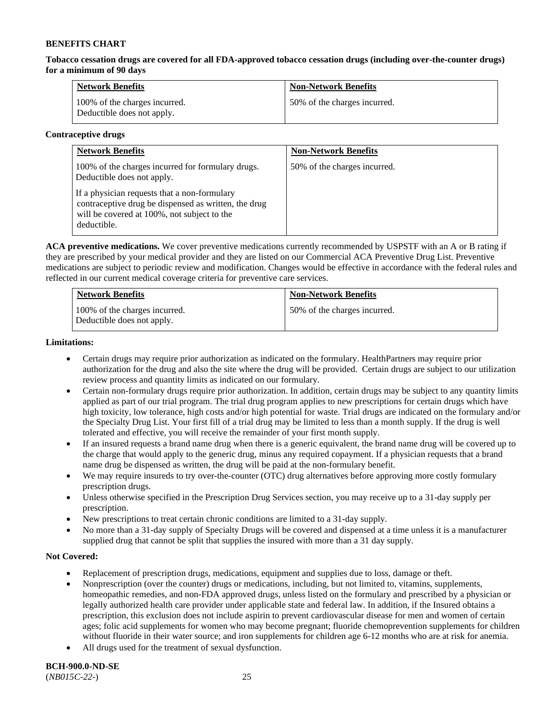**Tobacco cessation drugs are covered for all FDA-approved tobacco cessation drugs (including over-the-counter drugs) for a minimum of 90 days**

| <b>Network Benefits</b>                                     | <b>Non-Network Benefits</b>  |
|-------------------------------------------------------------|------------------------------|
| 100% of the charges incurred.<br>Deductible does not apply. | 50% of the charges incurred. |

### **Contraceptive drugs**

| <b>Network Benefits</b>                                                                                                                                            | <b>Non-Network Benefits</b>  |
|--------------------------------------------------------------------------------------------------------------------------------------------------------------------|------------------------------|
| 100% of the charges incurred for formulary drugs.<br>Deductible does not apply.                                                                                    | 50% of the charges incurred. |
| If a physician requests that a non-formulary<br>contraceptive drug be dispensed as written, the drug<br>will be covered at 100%, not subject to the<br>deductible. |                              |

**ACA preventive medications.** We cover preventive medications currently recommended by USPSTF with an A or B rating if they are prescribed by your medical provider and they are listed on our Commercial ACA Preventive Drug List. Preventive medications are subject to periodic review and modification. Changes would be effective in accordance with the federal rules and reflected in our current medical coverage criteria for preventive care services.

| <b>Network Benefits</b>                                     | <b>Non-Network Benefits</b>  |
|-------------------------------------------------------------|------------------------------|
| 100% of the charges incurred.<br>Deductible does not apply. | 50% of the charges incurred. |

### **Limitations:**

- Certain drugs may require prior authorization as indicated on the formulary. HealthPartners may require prior authorization for the drug and also the site where the drug will be provided. Certain drugs are subject to our utilization review process and quantity limits as indicated on our formulary.
- Certain non-formulary drugs require prior authorization. In addition, certain drugs may be subject to any quantity limits applied as part of our trial program. The trial drug program applies to new prescriptions for certain drugs which have high toxicity, low tolerance, high costs and/or high potential for waste. Trial drugs are indicated on the formulary and/or the Specialty Drug List. Your first fill of a trial drug may be limited to less than a month supply. If the drug is well tolerated and effective, you will receive the remainder of your first month supply.
- If an insured requests a brand name drug when there is a generic equivalent, the brand name drug will be covered up to the charge that would apply to the generic drug, minus any required copayment. If a physician requests that a brand name drug be dispensed as written, the drug will be paid at the non-formulary benefit.
- We may require insureds to try over-the-counter (OTC) drug alternatives before approving more costly formulary prescription drugs.
- Unless otherwise specified in the Prescription Drug Services section, you may receive up to a 31-day supply per prescription.
- New prescriptions to treat certain chronic conditions are limited to a 31-day supply.
- No more than a 31-day supply of Specialty Drugs will be covered and dispensed at a time unless it is a manufacturer supplied drug that cannot be split that supplies the insured with more than a 31 day supply.

# **Not Covered:**

- Replacement of prescription drugs, medications, equipment and supplies due to loss, damage or theft.
- Nonprescription (over the counter) drugs or medications, including, but not limited to, vitamins, supplements, homeopathic remedies, and non-FDA approved drugs, unless listed on the formulary and prescribed by a physician or legally authorized health care provider under applicable state and federal law. In addition, if the Insured obtains a prescription, this exclusion does not include aspirin to prevent cardiovascular disease for men and women of certain ages; folic acid supplements for women who may become pregnant; fluoride chemoprevention supplements for children without fluoride in their water source; and iron supplements for children age 6-12 months who are at risk for anemia.
- All drugs used for the treatment of sexual dysfunction.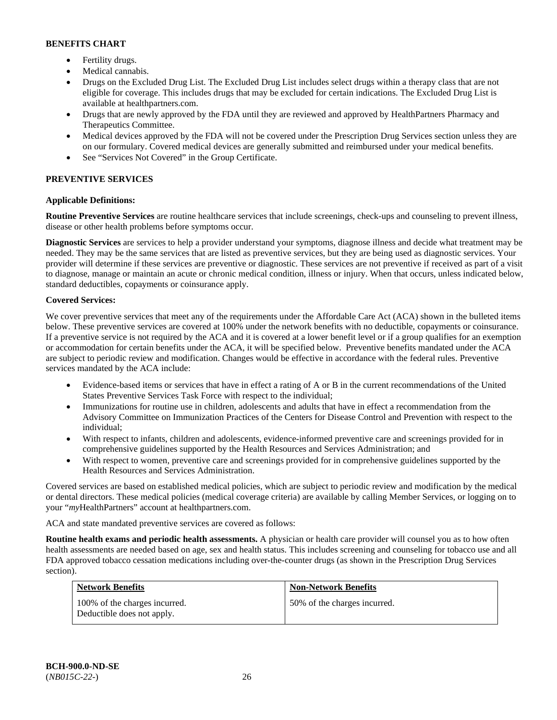- Fertility drugs.
- Medical cannabis.
- Drugs on the Excluded Drug List. The Excluded Drug List includes select drugs within a therapy class that are not eligible for coverage. This includes drugs that may be excluded for certain indications. The Excluded Drug List is available at [healthpartners.com.](http://www.healthpartners.com/)
- Drugs that are newly approved by the FDA until they are reviewed and approved by HealthPartners Pharmacy and Therapeutics Committee.
- Medical devices approved by the FDA will not be covered under the Prescription Drug Services section unless they are on our formulary. Covered medical devices are generally submitted and reimbursed under your medical benefits.
- See "Services Not Covered" in the Group Certificate.

# **PREVENTIVE SERVICES**

# **Applicable Definitions:**

**Routine Preventive Services** are routine healthcare services that include screenings, check-ups and counseling to prevent illness, disease or other health problems before symptoms occur.

**Diagnostic Services** are services to help a provider understand your symptoms, diagnose illness and decide what treatment may be needed. They may be the same services that are listed as preventive services, but they are being used as diagnostic services. Your provider will determine if these services are preventive or diagnostic. These services are not preventive if received as part of a visit to diagnose, manage or maintain an acute or chronic medical condition, illness or injury. When that occurs, unless indicated below, standard deductibles, copayments or coinsurance apply.

# **Covered Services:**

We cover preventive services that meet any of the requirements under the Affordable Care Act (ACA) shown in the bulleted items below. These preventive services are covered at 100% under the network benefits with no deductible, copayments or coinsurance. If a preventive service is not required by the ACA and it is covered at a lower benefit level or if a group qualifies for an exemption or accommodation for certain benefits under the ACA, it will be specified below. Preventive benefits mandated under the ACA are subject to periodic review and modification. Changes would be effective in accordance with the federal rules. Preventive services mandated by the ACA include:

- Evidence-based items or services that have in effect a rating of A or B in the current recommendations of the United States Preventive Services Task Force with respect to the individual;
- Immunizations for routine use in children, adolescents and adults that have in effect a recommendation from the Advisory Committee on Immunization Practices of the Centers for Disease Control and Prevention with respect to the individual;
- With respect to infants, children and adolescents, evidence-informed preventive care and screenings provided for in comprehensive guidelines supported by the Health Resources and Services Administration; and
- With respect to women, preventive care and screenings provided for in comprehensive guidelines supported by the Health Resources and Services Administration.

Covered services are based on established medical policies, which are subject to periodic review and modification by the medical or dental directors. These medical policies (medical coverage criteria) are available by calling Member Services, or logging on to your "*my*HealthPartners" account at [healthpartners.com.](http://www.healthpartners.com/) 

ACA and state mandated preventive services are covered as follows:

**Routine health exams and periodic health assessments.** A physician or health care provider will counsel you as to how often health assessments are needed based on age, sex and health status. This includes screening and counseling for tobacco use and all FDA approved tobacco cessation medications including over-the-counter drugs (as shown in the Prescription Drug Services section).

| <b>Network Benefits</b>                                     | <b>Non-Network Benefits</b>  |
|-------------------------------------------------------------|------------------------------|
| 100% of the charges incurred.<br>Deductible does not apply. | 50% of the charges incurred. |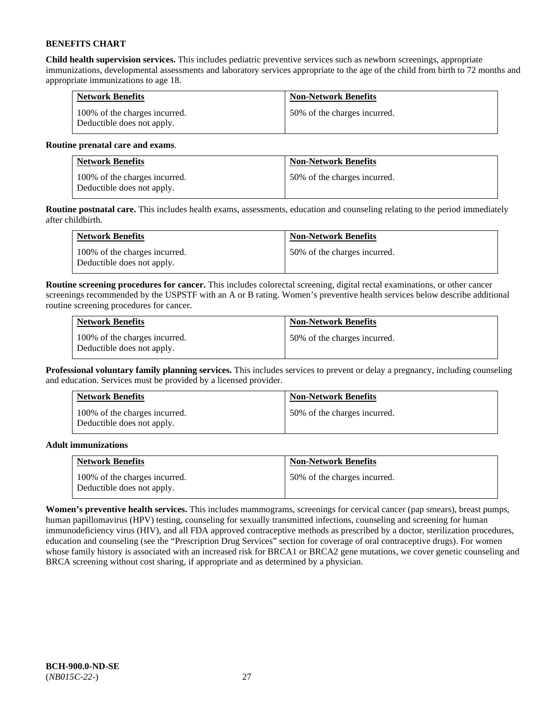**Child health supervision services.** This includes pediatric preventive services such as newborn screenings, appropriate immunizations, developmental assessments and laboratory services appropriate to the age of the child from birth to 72 months and appropriate immunizations to age 18.

| <b>Network Benefits</b>                                     | <b>Non-Network Benefits</b>  |
|-------------------------------------------------------------|------------------------------|
| 100% of the charges incurred.<br>Deductible does not apply. | 50% of the charges incurred. |

### **Routine prenatal care and exams**.

| <b>Network Benefits</b>                                     | <b>Non-Network Benefits</b>  |
|-------------------------------------------------------------|------------------------------|
| 100% of the charges incurred.<br>Deductible does not apply. | 50% of the charges incurred. |

**Routine postnatal care.** This includes health exams, assessments, education and counseling relating to the period immediately after childbirth.

| <b>Network Benefits</b>                                     | <b>Non-Network Benefits</b>  |
|-------------------------------------------------------------|------------------------------|
| 100% of the charges incurred.<br>Deductible does not apply. | 50% of the charges incurred. |

**Routine screening procedures for cancer.** This includes colorectal screening, digital rectal examinations, or other cancer screenings recommended by the USPSTF with an A or B rating. Women's preventive health services below describe additional routine screening procedures for cancer.

| <b>Network Benefits</b>                                     | <b>Non-Network Benefits</b>  |
|-------------------------------------------------------------|------------------------------|
| 100% of the charges incurred.<br>Deductible does not apply. | 50% of the charges incurred. |

**Professional voluntary family planning services.** This includes services to prevent or delay a pregnancy, including counseling and education. Services must be provided by a licensed provider.

| <b>Network Benefits</b>                                     | <b>Non-Network Benefits</b>  |
|-------------------------------------------------------------|------------------------------|
| 100% of the charges incurred.<br>Deductible does not apply. | 50% of the charges incurred. |

# **Adult immunizations**

| <b>Network Benefits</b>                                     | <b>Non-Network Benefits</b>  |
|-------------------------------------------------------------|------------------------------|
| 100% of the charges incurred.<br>Deductible does not apply. | 50% of the charges incurred. |

**Women's preventive health services.** This includes mammograms, screenings for cervical cancer (pap smears), breast pumps, human papillomavirus (HPV) testing, counseling for sexually transmitted infections, counseling and screening for human immunodeficiency virus (HIV), and all FDA approved contraceptive methods as prescribed by a doctor, sterilization procedures, education and counseling (see the "Prescription Drug Services" section for coverage of oral contraceptive drugs). For women whose family history is associated with an increased risk for BRCA1 or BRCA2 gene mutations, we cover genetic counseling and BRCA screening without cost sharing, if appropriate and as determined by a physician.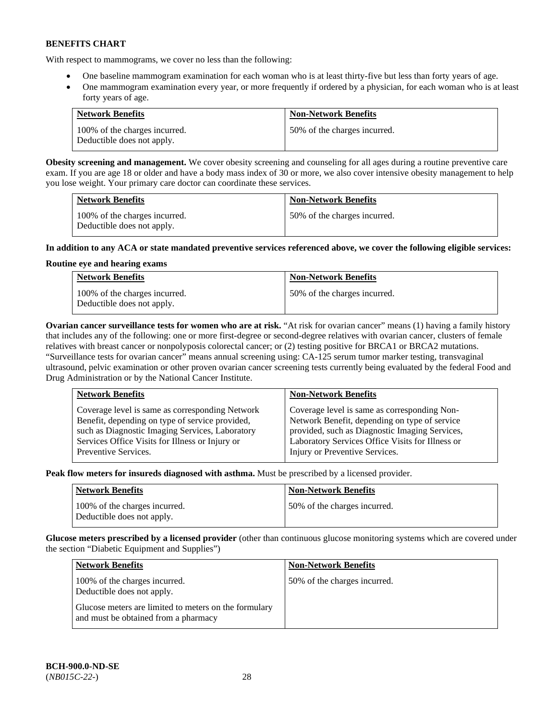With respect to mammograms, we cover no less than the following:

- One baseline mammogram examination for each woman who is at least thirty-five but less than forty years of age.
- One mammogram examination every year, or more frequently if ordered by a physician, for each woman who is at least forty years of age.

| <b>Network Benefits</b>                                     | <b>Non-Network Benefits</b>  |
|-------------------------------------------------------------|------------------------------|
| 100% of the charges incurred.<br>Deductible does not apply. | 50% of the charges incurred. |

**Obesity screening and management.** We cover obesity screening and counseling for all ages during a routine preventive care exam. If you are age 18 or older and have a body mass index of 30 or more, we also cover intensive obesity management to help you lose weight. Your primary care doctor can coordinate these services.

| <b>Network Benefits</b>                                     | <b>Non-Network Benefits</b>  |
|-------------------------------------------------------------|------------------------------|
| 100% of the charges incurred.<br>Deductible does not apply. | 50% of the charges incurred. |

# **In addition to any ACA or state mandated preventive services referenced above, we cover the following eligible services:**

# **Routine eye and hearing exams**

| <b>Network Benefits</b>                                     | <b>Non-Network Benefits</b>  |
|-------------------------------------------------------------|------------------------------|
| 100% of the charges incurred.<br>Deductible does not apply. | 50% of the charges incurred. |

**Ovarian cancer surveillance tests for women who are at risk.** "At risk for ovarian cancer" means (1) having a family history that includes any of the following: one or more first-degree or second-degree relatives with ovarian cancer, clusters of female relatives with breast cancer or nonpolyposis colorectal cancer; or (2) testing positive for BRCA1 or BRCA2 mutations. "Surveillance tests for ovarian cancer" means annual screening using: CA-125 serum tumor marker testing, transvaginal ultrasound, pelvic examination or other proven ovarian cancer screening tests currently being evaluated by the federal Food and Drug Administration or by the National Cancer Institute.

| <b>Network Benefits</b>                         | <b>Non-Network Benefits</b>                      |
|-------------------------------------------------|--------------------------------------------------|
| Coverage level is same as corresponding Network | Coverage level is same as corresponding Non-     |
| Benefit, depending on type of service provided, | Network Benefit, depending on type of service    |
| such as Diagnostic Imaging Services, Laboratory | provided, such as Diagnostic Imaging Services,   |
| Services Office Visits for Illness or Injury or | Laboratory Services Office Visits for Illness or |
| Preventive Services.                            | Injury or Preventive Services.                   |

**Peak flow meters for insureds diagnosed with asthma.** Must be prescribed by a licensed provider.

| <b>Network Benefits</b>                                     | <b>Non-Network Benefits</b>  |
|-------------------------------------------------------------|------------------------------|
| 100% of the charges incurred.<br>Deductible does not apply. | 50% of the charges incurred. |

**Glucose meters prescribed by a licensed provider** (other than continuous glucose monitoring systems which are covered under the section "Diabetic Equipment and Supplies")

| <b>Network Benefits</b>                                                                       | <b>Non-Network Benefits</b>  |
|-----------------------------------------------------------------------------------------------|------------------------------|
| 100% of the charges incurred.<br>Deductible does not apply.                                   | 50% of the charges incurred. |
| Glucose meters are limited to meters on the formulary<br>and must be obtained from a pharmacy |                              |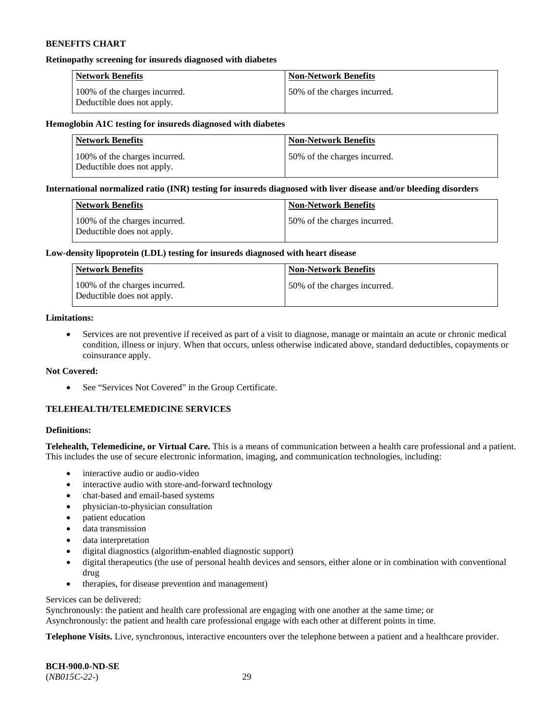#### **Retinopathy screening for insureds diagnosed with diabetes**

| <b>Network Benefits</b>                                     | <b>Non-Network Benefits</b>  |
|-------------------------------------------------------------|------------------------------|
| 100% of the charges incurred.<br>Deductible does not apply. | 50% of the charges incurred. |

### **Hemoglobin A1C testing for insureds diagnosed with diabetes**

| <b>Network Benefits</b>                                     | <b>Non-Network Benefits</b>  |
|-------------------------------------------------------------|------------------------------|
| 100% of the charges incurred.<br>Deductible does not apply. | 50% of the charges incurred. |

### **International normalized ratio (INR) testing for insureds diagnosed with liver disease and/or bleeding disorders**

| Network Benefits                                            | <b>Non-Network Benefits</b>  |
|-------------------------------------------------------------|------------------------------|
| 100% of the charges incurred.<br>Deductible does not apply. | 50% of the charges incurred. |

### **Low-density lipoprotein (LDL) testing for insureds diagnosed with heart disease**

| <b>Network Benefits</b>                                     | <b>Non-Network Benefits</b>  |
|-------------------------------------------------------------|------------------------------|
| 100% of the charges incurred.<br>Deductible does not apply. | 50% of the charges incurred. |

# **Limitations:**

• Services are not preventive if received as part of a visit to diagnose, manage or maintain an acute or chronic medical condition, illness or injury. When that occurs, unless otherwise indicated above, standard deductibles, copayments or coinsurance apply.

#### **Not Covered:**

• See "Services Not Covered" in the Group Certificate.

# **TELEHEALTH/TELEMEDICINE SERVICES**

### **Definitions:**

**Telehealth, Telemedicine, or Virtual Care.** This is a means of communication between a health care professional and a patient. This includes the use of secure electronic information, imaging, and communication technologies, including:

- interactive audio or audio-video
- interactive audio with store-and-forward technology
- chat-based and email-based systems
- physician-to-physician consultation
- patient education
- data transmission
- data interpretation
- digital diagnostics (algorithm-enabled diagnostic support)
- digital therapeutics (the use of personal health devices and sensors, either alone or in combination with conventional drug
- therapies, for disease prevention and management)

### Services can be delivered:

Synchronously: the patient and health care professional are engaging with one another at the same time; or Asynchronously: the patient and health care professional engage with each other at different points in time.

**Telephone Visits.** Live, synchronous, interactive encounters over the telephone between a patient and a healthcare provider.

**BCH-900.0-ND-SE** (*NB015C-22-*) 29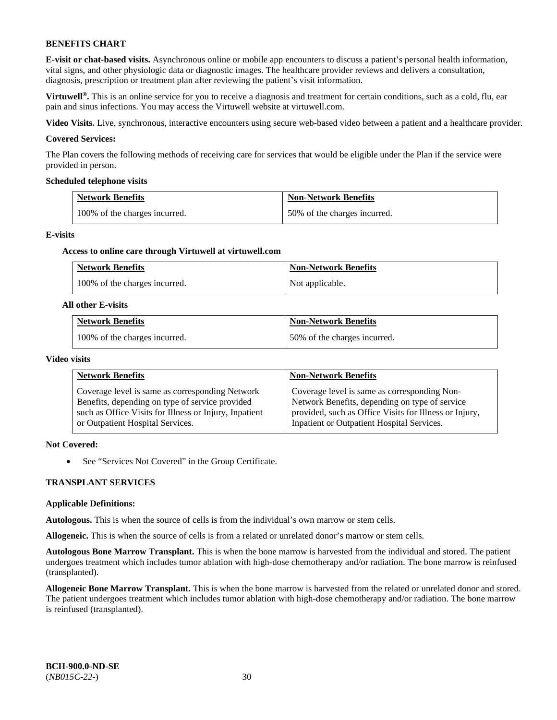**E-visit or chat-based visits.** Asynchronous online or mobile app encounters to discuss a patient's personal health information, vital signs, and other physiologic data or diagnostic images. The healthcare provider reviews and delivers a consultation, diagnosis, prescription or treatment plan after reviewing the patient's visit information.

**Virtuwell<sup>®</sup>**. This is an online service for you to receive a diagnosis and treatment for certain conditions, such as a cold, flu, ear pain and sinus infections. You may access the Virtuwell website at [virtuwell.com.](https://www.virtuwell.com/)

**Video Visits.** Live, synchronous, interactive encounters using secure web-based video between a patient and a healthcare provider.

#### **Covered Services:**

The Plan covers the following methods of receiving care for services that would be eligible under the Plan if the service were provided in person.

#### **Scheduled telephone visits**

| <b>Network Benefits</b>       | <b>Non-Network Benefits</b>  |
|-------------------------------|------------------------------|
| 100% of the charges incurred. | 50% of the charges incurred. |

#### **E-visits**

#### **Access to online care through Virtuwell at [virtuwell.com](https://www.virtuwell.com/)**

| <b>Network Benefits</b>       | <b>Non-Network Benefits</b> |
|-------------------------------|-----------------------------|
| 100% of the charges incurred. | Not applicable.             |

#### **All other E-visits**

| <b>Network Benefits</b>       | <b>Non-Network Benefits</b>  |
|-------------------------------|------------------------------|
| 100% of the charges incurred. | 50% of the charges incurred. |

#### **Video visits**

| <b>Network Benefits</b>                                | <b>Non-Network Benefits</b>                            |
|--------------------------------------------------------|--------------------------------------------------------|
| Coverage level is same as corresponding Network        | Coverage level is same as corresponding Non-           |
| Benefits, depending on type of service provided        | Network Benefits, depending on type of service         |
| such as Office Visits for Illness or Injury, Inpatient | provided, such as Office Visits for Illness or Injury, |
| or Outpatient Hospital Services.                       | Inpatient or Outpatient Hospital Services.             |

# **Not Covered:**

• See "Services Not Covered" in the Group Certificate.

#### **TRANSPLANT SERVICES**

#### **Applicable Definitions:**

**Autologous.** This is when the source of cells is from the individual's own marrow or stem cells.

**Allogeneic.** This is when the source of cells is from a related or unrelated donor's marrow or stem cells.

**Autologous Bone Marrow Transplant.** This is when the bone marrow is harvested from the individual and stored. The patient undergoes treatment which includes tumor ablation with high-dose chemotherapy and/or radiation. The bone marrow is reinfused (transplanted).

**Allogeneic Bone Marrow Transplant.** This is when the bone marrow is harvested from the related or unrelated donor and stored. The patient undergoes treatment which includes tumor ablation with high-dose chemotherapy and/or radiation. The bone marrow is reinfused (transplanted).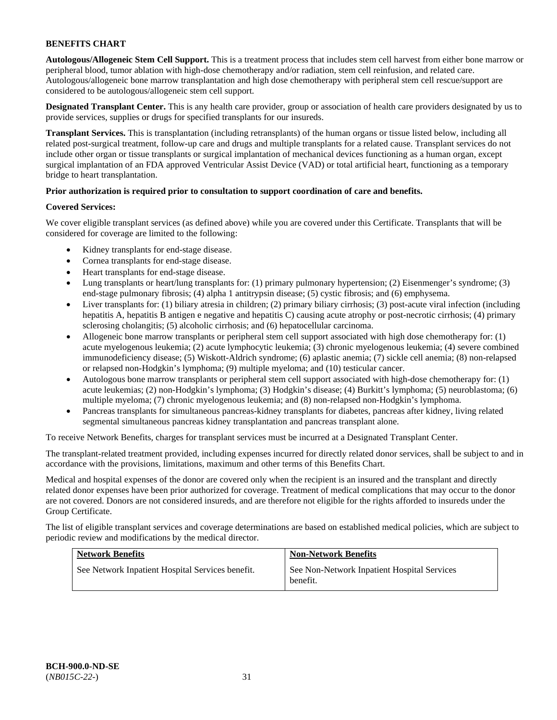**Autologous/Allogeneic Stem Cell Support.** This is a treatment process that includes stem cell harvest from either bone marrow or peripheral blood, tumor ablation with high-dose chemotherapy and/or radiation, stem cell reinfusion, and related care. Autologous/allogeneic bone marrow transplantation and high dose chemotherapy with peripheral stem cell rescue/support are considered to be autologous/allogeneic stem cell support.

**Designated Transplant Center.** This is any health care provider, group or association of health care providers designated by us to provide services, supplies or drugs for specified transplants for our insureds.

**Transplant Services.** This is transplantation (including retransplants) of the human organs or tissue listed below, including all related post-surgical treatment, follow-up care and drugs and multiple transplants for a related cause. Transplant services do not include other organ or tissue transplants or surgical implantation of mechanical devices functioning as a human organ, except surgical implantation of an FDA approved Ventricular Assist Device (VAD) or total artificial heart, functioning as a temporary bridge to heart transplantation.

# **Prior authorization is required prior to consultation to support coordination of care and benefits.**

# **Covered Services:**

We cover eligible transplant services (as defined above) while you are covered under this Certificate. Transplants that will be considered for coverage are limited to the following:

- Kidney transplants for end-stage disease.
- Cornea transplants for end-stage disease.
- Heart transplants for end-stage disease.
- Lung transplants or heart/lung transplants for: (1) primary pulmonary hypertension; (2) Eisenmenger's syndrome; (3) end-stage pulmonary fibrosis; (4) alpha 1 antitrypsin disease; (5) cystic fibrosis; and (6) emphysema.
- Liver transplants for: (1) biliary atresia in children; (2) primary biliary cirrhosis; (3) post-acute viral infection (including hepatitis A, hepatitis B antigen e negative and hepatitis C) causing acute atrophy or post-necrotic cirrhosis; (4) primary sclerosing cholangitis; (5) alcoholic cirrhosis; and (6) hepatocellular carcinoma.
- Allogeneic bone marrow transplants or peripheral stem cell support associated with high dose chemotherapy for: (1) acute myelogenous leukemia; (2) acute lymphocytic leukemia; (3) chronic myelogenous leukemia; (4) severe combined immunodeficiency disease; (5) Wiskott-Aldrich syndrome; (6) aplastic anemia; (7) sickle cell anemia; (8) non-relapsed or relapsed non-Hodgkin's lymphoma; (9) multiple myeloma; and (10) testicular cancer.
- Autologous bone marrow transplants or peripheral stem cell support associated with high-dose chemotherapy for: (1) acute leukemias; (2) non-Hodgkin's lymphoma; (3) Hodgkin's disease; (4) Burkitt's lymphoma; (5) neuroblastoma; (6) multiple myeloma; (7) chronic myelogenous leukemia; and (8) non-relapsed non-Hodgkin's lymphoma.
- Pancreas transplants for simultaneous pancreas-kidney transplants for diabetes, pancreas after kidney, living related segmental simultaneous pancreas kidney transplantation and pancreas transplant alone.

To receive Network Benefits, charges for transplant services must be incurred at a Designated Transplant Center.

The transplant-related treatment provided, including expenses incurred for directly related donor services, shall be subject to and in accordance with the provisions, limitations, maximum and other terms of this Benefits Chart.

Medical and hospital expenses of the donor are covered only when the recipient is an insured and the transplant and directly related donor expenses have been prior authorized for coverage. Treatment of medical complications that may occur to the donor are not covered. Donors are not considered insureds, and are therefore not eligible for the rights afforded to insureds under the Group Certificate.

The list of eligible transplant services and coverage determinations are based on established medical policies, which are subject to periodic review and modifications by the medical director.

| <b>Network Benefits</b>                          | <b>Non-Network Benefits</b>                             |
|--------------------------------------------------|---------------------------------------------------------|
| See Network Inpatient Hospital Services benefit. | See Non-Network Inpatient Hospital Services<br>benefit. |